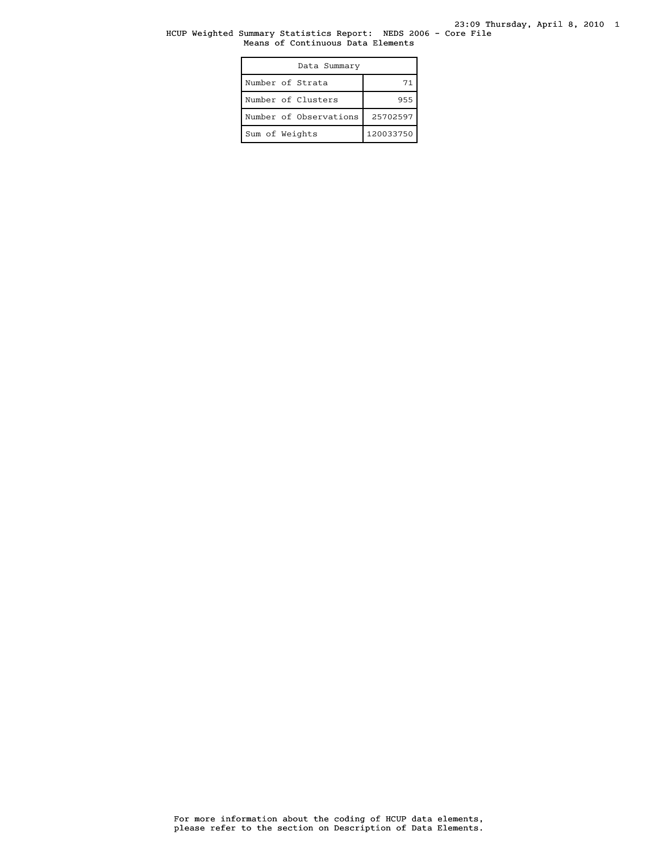#### HCUP Weighted Summary Statistics Report: NEDS 2006 - Core File Means of Continuous Data Elements

| Data Summary           |           |
|------------------------|-----------|
| Number of Strata       | 71        |
| Number of Clusters     | 955       |
| Number of Observations | 25702597  |
| Sum of Weights         | 120033750 |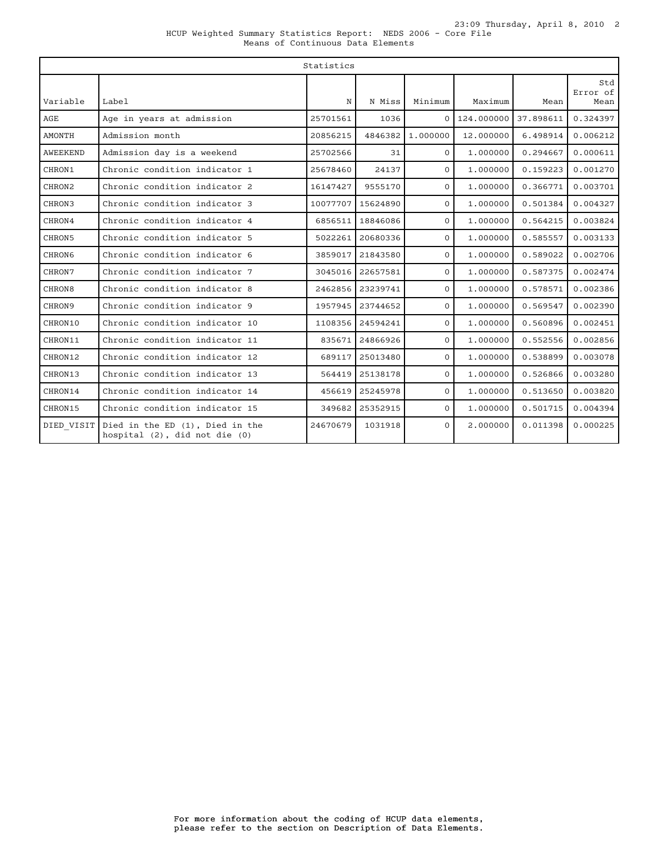|               | Statistics                                                       |          |          |              |            |           |                         |
|---------------|------------------------------------------------------------------|----------|----------|--------------|------------|-----------|-------------------------|
| Variable      | Label                                                            | N        | N Miss   | Minimum      | Maximum    | Mean      | Std<br>Error of<br>Mean |
| AGE           | Age in years at admission                                        | 25701561 | 1036     | $\Omega$     | 124,000000 | 37.898611 | 0.324397                |
| <b>AMONTH</b> | Admission month                                                  | 20856215 | 4846382  | 1,000000     | 12.000000  | 6.498914  | 0.006212                |
| AWEEKEND      | Admission day is a weekend                                       | 25702566 | 31       | $\Omega$     | 1,000000   | 0.294667  | 0.000611                |
| CHRON1        | Chronic condition indicator 1                                    | 25678460 | 24137    | $\Omega$     | 1,000000   | 0.159223  | 0.001270                |
| CHRON2        | Chronic condition indicator 2                                    | 16147427 | 9555170  | $\Omega$     | 1,000000   | 0.366771  | 0.003701                |
| CHRON3        | Chronic condition indicator 3                                    | 10077707 | 15624890 | $\Omega$     | 1,000000   | 0.501384  | 0.004327                |
| CHRON4        | Chronic condition indicator 4                                    | 6856511  | 18846086 | $\mathbf{0}$ | 1,000000   | 0.564215  | 0.003824                |
| CHRON5        | Chronic condition indicator 5                                    | 5022261  | 20680336 | $\Omega$     | 1,000000   | 0.585557  | 0.003133                |
| CHRON6        | Chronic condition indicator 6                                    | 3859017  | 21843580 | $\Omega$     | 1,000000   | 0.589022  | 0.002706                |
| CHRON7        | Chronic condition indicator 7                                    | 3045016  | 22657581 | $\mathbf{O}$ | 1,000000   | 0.587375  | 0.002474                |
| CHRON8        | Chronic condition indicator 8                                    | 2462856  | 23239741 | $\Omega$     | 1,000000   | 0.578571  | 0.002386                |
| CHRON9        | Chronic condition indicator 9                                    | 1957945  | 23744652 | $\Omega$     | 1.000000   | 0.569547  | 0.002390                |
| CHRON10       | Chronic condition indicator 10                                   | 1108356  | 24594241 | $\mathbf{O}$ | 1,000000   | 0.560896  | 0.002451                |
| CHRON11       | Chronic condition indicator 11                                   | 835671   | 24866926 | $\mathbf{0}$ | 1,000000   | 0.552556  | 0.002856                |
| CHRON12       | Chronic condition indicator 12                                   | 689117   | 25013480 | $\Omega$     | 1,000000   | 0.538899  | 0.003078                |
| CHRON13       | Chronic condition indicator 13                                   | 564419   | 25138178 | $\mathbf{O}$ | 1.000000   | 0.526866  | 0.003280                |
| CHRON14       | Chronic condition indicator 14                                   | 456619   | 25245978 | $\mathbf{0}$ | 1,000000   | 0.513650  | 0.003820                |
| CHRON15       | Chronic condition indicator 15                                   | 349682   | 25352915 | $\Omega$     | 1,000000   | 0.501715  | 0.004394                |
| DIED VISIT    | Died in the ED (1), Died in the<br>hospital (2), did not die (0) | 24670679 | 1031918  | $\Omega$     | 2.000000   | 0.011398  | 0.000225                |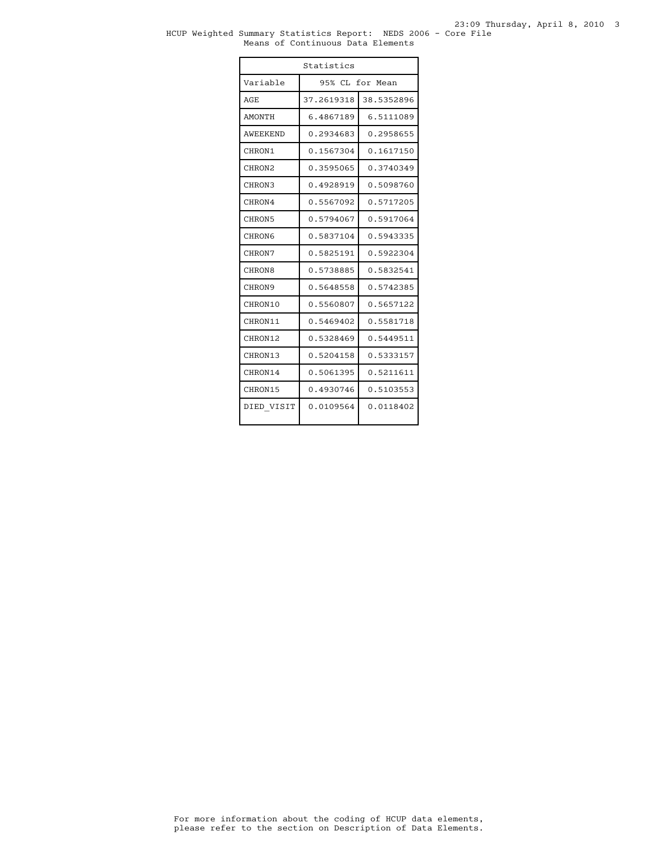#### HCUP Weighted Summary Statistics Report: NEDS 2006 - Core File Means of Continuous Data Elements

| Statistics         |                 |            |  |
|--------------------|-----------------|------------|--|
| Variable           | 95% CL for Mean |            |  |
| AGE.               | 37.2619318      | 38.5352896 |  |
| <b>AMONTH</b>      | 6.4867189       | 6.5111089  |  |
| AWEEKEND           | 0.2934683       | 0.2958655  |  |
| CHRON1             | 0.1567304       | 0.1617150  |  |
| CHRON <sub>2</sub> | 0.3595065       | 0.3740349  |  |
| CHRON3             | 0.4928919       | 0.5098760  |  |
| CHRON4             | 0.5567092       | 0.5717205  |  |
| CHRON5             | 0.5794067       | 0.5917064  |  |
| CHRON6             | 0.5837104       | 0.5943335  |  |
| CHRON7             | 0.5825191       | 0.5922304  |  |
| CHRON8             | 0.5738885       | 0.5832541  |  |
| CHRON9             | 0.5648558       | 0.5742385  |  |
| CHRON10            | 0.5560807       | 0.5657122  |  |
| CHRON11            | 0.5469402       | 0.5581718  |  |
| CHRON12            | 0.5328469       | 0.5449511  |  |
| CHRON13            | 0.5204158       | 0.5333157  |  |
| CHRON14            | 0.5061395       | 0.5211611  |  |
| CHRON15            | 0.4930746       | 0.5103553  |  |
| DIED VISIT         | 0.0109564       | 0.0118402  |  |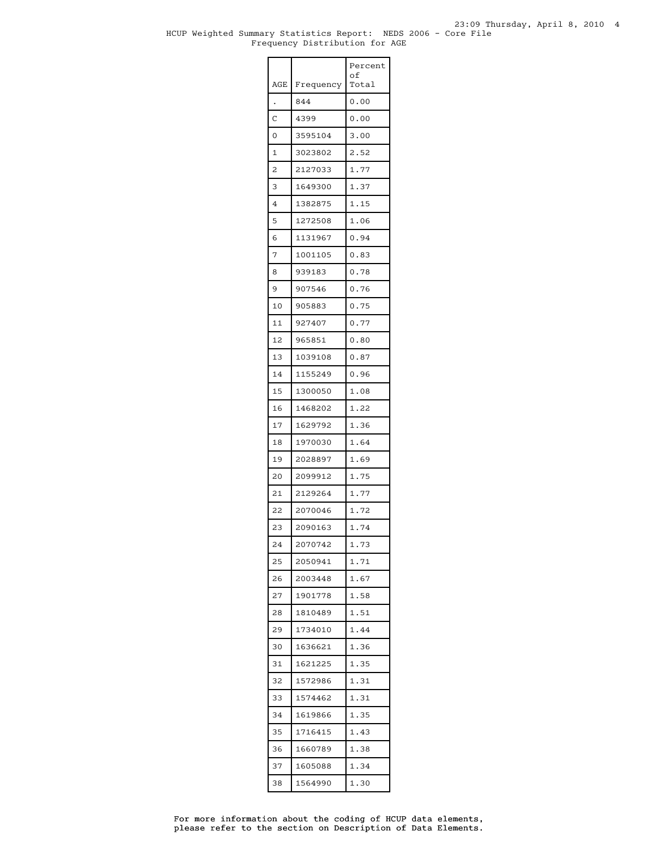#### HCUP Weighted Summary Statistics Report: NEDS 2006 - Core File 23:09 Thursday, April 8, 2010 4 Frequency Distribution for AGE

|     |           | Percent<br>οf |
|-----|-----------|---------------|
| AGE | Frequency | Total         |
|     | 844       | 0.00          |
| Ċ   | 4399      | 0.00          |
| 0   | 3595104   | 3.00          |
| 1   | 3023802   | 2.52          |
| 2   | 2127033   | 1.77          |
| 3   | 1649300   | 1.37          |
| 4   | 1382875   | 1.15          |
| 5   | 1272508   | 1.06          |
| 6   | 1131967   | 0.94          |
| 7   | 1001105   | 0.83          |
| 8   | 939183    | 0.78          |
| 9   | 907546    | 0.76          |
| 10  | 905883    | 0.75          |
| 11  | 927407    | 0.77          |
| 12  | 965851    | 0.80          |
| 13  | 1039108   | 0.87          |
| 14  | 1155249   | 0.96          |
| 15  | 1300050   | 1.08          |
| 16  | 1468202   | 1.22          |
| 17  | 1629792   | 1.36          |
| 18  | 1970030   | 1.64          |
| 19  | 2028897   | 1.69          |
| 20  | 2099912   | 1.75          |
| 21  | 2129264   | 1.77          |
| 22  | 2070046   | 1.72          |
| 23  | 2090163   | 1.74          |
| 24  | 2070742   | 1.73          |
| 25  | 2050941   | 1.71          |
| 26  | 2003448   | 1.67          |
| 27  | 1901778   | 1.58          |
| 28  | 1810489   | 1.51          |
| 29  | 1734010   | 1.44          |
| 30  | 1636621   | 1.36          |
| 31  | 1621225   | 1.35          |
| 32  | 1572986   | 1.31          |
| 33  | 1574462   | 1.31          |
| 34  | 1619866   | 1.35          |
| 35  | 1716415   | 1.43          |
| 36  | 1660789   | 1.38          |
| 37  | 1605088   | 1.34          |
| 38  | 1564990   | 1.30          |

please refer to the section on Description of Data Elements. For more information about the coding of HCUP data elements,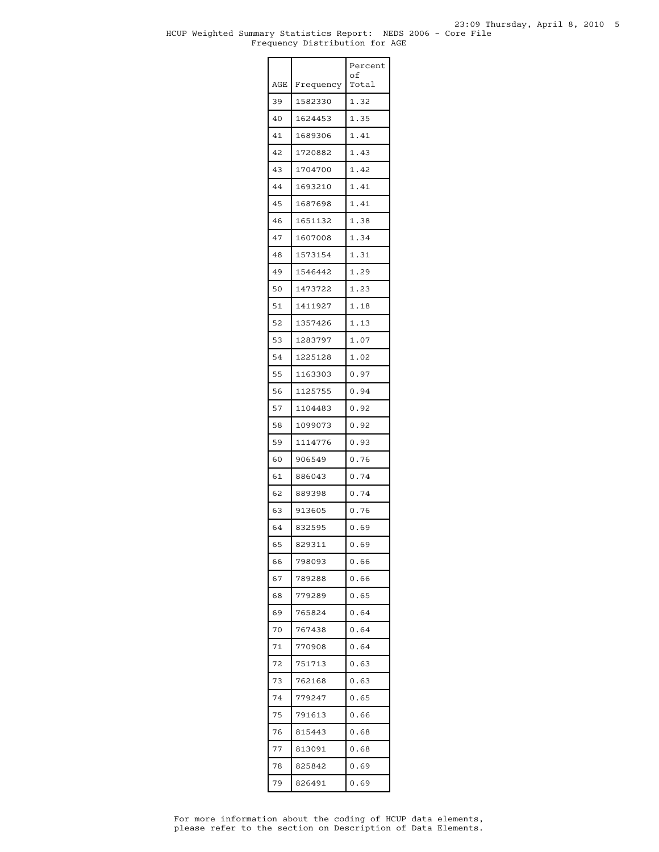#### HCUP Weighted Summary Statistics Report: NEDS 2006 - Core File 23:09 Thursday, April 8, 2010 5 Frequency Distribution for AGE

|     |           | Percent<br>οf |
|-----|-----------|---------------|
| AGE | Frequency | Total         |
| 39  | 1582330   | 1.32          |
| 40  | 1624453   | 1.35          |
| 41  | 1689306   | 1.41          |
| 42  | 1720882   | 1.43          |
| 43  | 1704700   | 1.42          |
| 44  | 1693210   | 1.41          |
| 45  | 1687698   | 1.41          |
| 46  | 1651132   | 1.38          |
| 47  | 1607008   | 1.34          |
| 48  | 1573154   | 1.31          |
| 49  | 1546442   | 1.29          |
| 50  | 1473722   | 1.23          |
| 51  | 1411927   | 1.18          |
| 52  | 1357426   | 1.13          |
| 53  | 1283797   | 1.07          |
| 54  | 1225128   | 1.02          |
| 55  | 1163303   | 0.97          |
| 56  | 1125755   | 0.94          |
| 57  | 1104483   | 0.92          |
| 58  | 1099073   | 0.92          |
| 59  | 1114776   | 0.93          |
| 60  | 906549    | 0.76          |
| 61  | 886043    | 0.74          |
| 62  | 889398    | 0.74          |
| 63  | 913605    | 0.76          |
| 64  | 832595    | 0.69          |
| 65  | 829311    | 0.69          |
| 66  | 798093    | 0.66          |
| 67  | 789288    | 0.66          |
| 68  | 779289    | 0.65          |
| 69  | 765824    | 0.64          |
| 70  | 767438    | 0.64          |
| 71  | 770908    | 0.64          |
| 72  | 751713    | 0.63          |
| 73  | 762168    | 0.63          |
| 74  | 779247    | 0.65          |
| 75  | 791613    | 0.66          |
| 76  | 815443    | 0.68          |
| 77  | 813091    | 0.68          |
| 78  | 825842    | 0.69          |
| 79  | 826491    | 0.69          |
|     |           |               |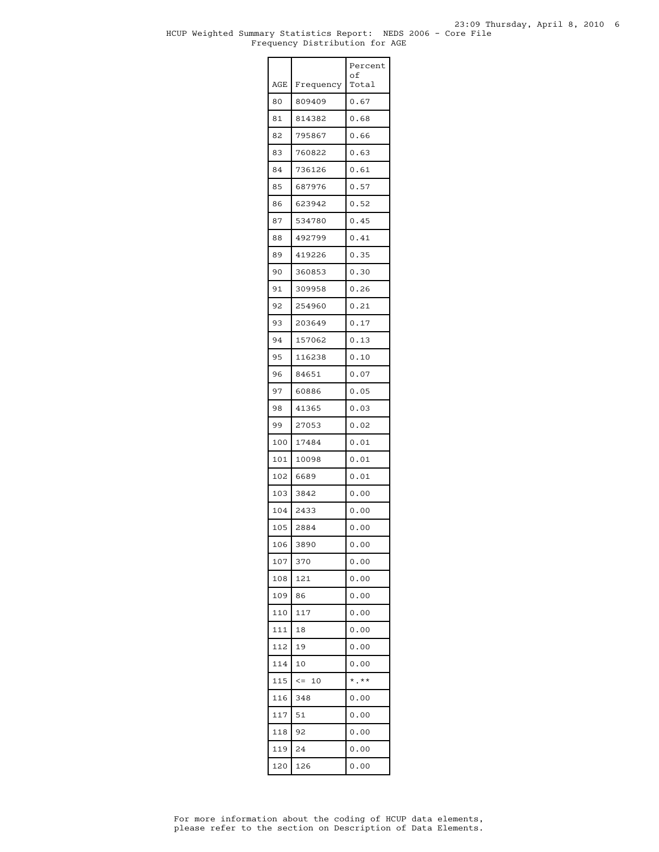#### HCUP Weighted Summary Statistics Report: NEDS 2006 - Core File 23:09 Thursday, April 8, 2010 6 Frequency Distribution for AGE

|     |            | Percent<br>of |
|-----|------------|---------------|
| AGE | Frequency  | Total         |
| 80  | 809409     | 0.67          |
| 81  | 814382     | 0.68          |
| 82  | 795867     | 0.66          |
| 83  | 760822     | 0.63          |
| 84  | 736126     | 0.61          |
| 85  | 687976     | 0.57          |
| 86  | 623942     | 0.52          |
| 87  | 534780     | 0.45          |
| 88  | 492799     | 0.41          |
| 89  | 419226     | 0.35          |
| 90  | 360853     | 0.30          |
| 91  | 309958     | 0.26          |
| 92  | 254960     | 0.21          |
| 93  | 203649     | 0.17          |
| 94  | 157062     | 0.13          |
| 95  | 116238     | 0.10          |
| 96  | 84651      | 0.07          |
| 97  | 60886      | 0.05          |
| 98  | 41365      | 0.03          |
| 99  | 27053      | 0.02          |
| 100 | 17484      | 0.01          |
| 101 | 10098      | 0.01          |
| 102 | 6689       | 0.01          |
| 103 | 3842       | 0.00          |
| 104 | 2433       | 0.00          |
| 105 | 2884       | 0.00          |
| 106 | 3890       | 0.00          |
| 107 | 370        | 0.00          |
| 108 | 121        | 0.00          |
| 109 | 86         | 0.00          |
| 110 | 117        | 0.00          |
| 111 | 18         | 0.00          |
| 112 | 19         | 0.00          |
| 114 | 10         | 0.00          |
| 115 | $\leq -10$ | $*$ .**       |
| 116 | 348        | 0.00          |
| 117 | 51         | 0.00          |
| 118 | 92         | 0.00          |
| 119 | 24         | 0.00          |
| 120 | 126        | 0.00          |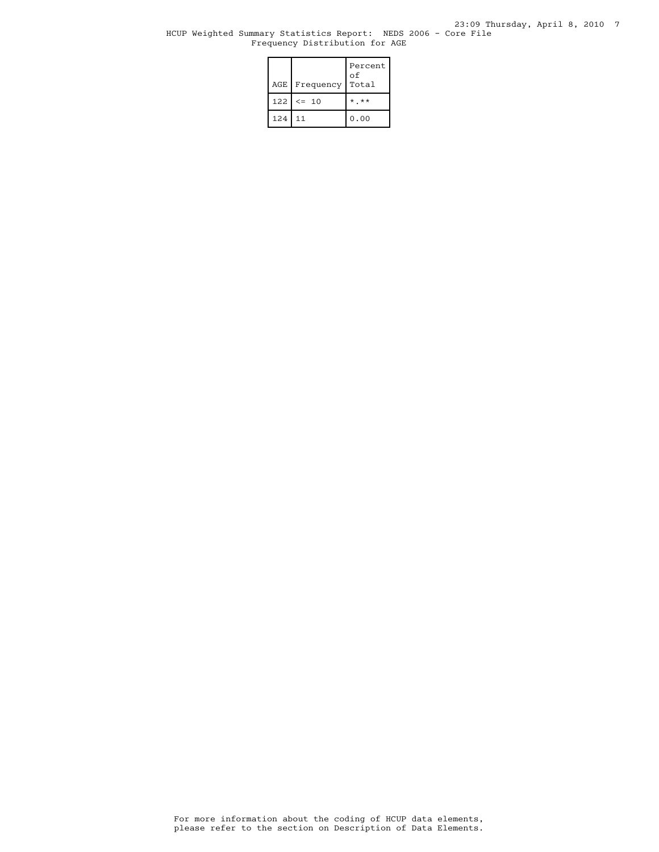#### HCUP Weighted Summary Statistics Report: NEDS 2006 - Core File Frequency Distribution for AGE

| AGE <sub>I</sub> | Frequency | Percent<br>οf<br>Total |
|------------------|-----------|------------------------|
| 122              | $\leq$ 10 | $*$ $*$                |
| 124              | .11       | 0.00                   |

please refer to the section on Description of Data Elements. For more information about the coding of HCUP data elements,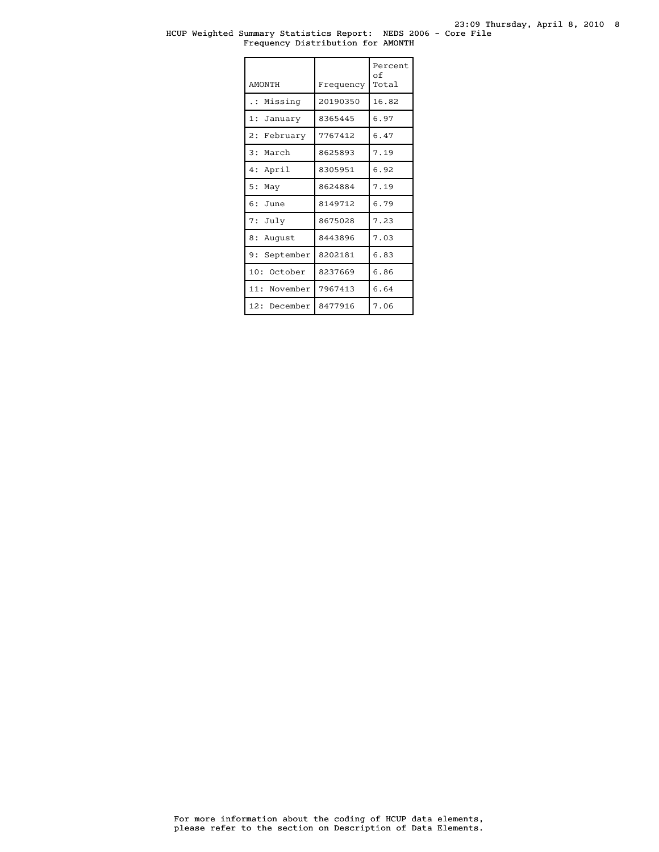#### HCUP Weighted Summary Statistics Report: NEDS 2006 - Core File Frequency Distribution for AMONTH

| <b>AMONTH</b>        | Frequency | Percent<br>οf<br>Total |
|----------------------|-----------|------------------------|
| Missing<br>$\cdot$ : | 20190350  | 16.82                  |
| 1: January           | 8365445   | 6.97                   |
| 2: February          | 7767412   | 6.47                   |
| 3: March             | 8625893   | 7.19                   |
| 4: April             | 8305951   | 6.92                   |
| 5:<br>May            | 8624884   | 7.19                   |
| $6:$ June            | 8149712   | 6.79                   |
| 7: July              | 8675028   | 7.23                   |
| 8 :<br>August        | 8443896   | 7.03                   |
| 9: September         | 8202181   | 6.83                   |
| 10:<br>October       | 8237669   | 6.86                   |
| 11: November         | 7967413   | 6.64                   |
| 12: December         | 8477916   | 7.06                   |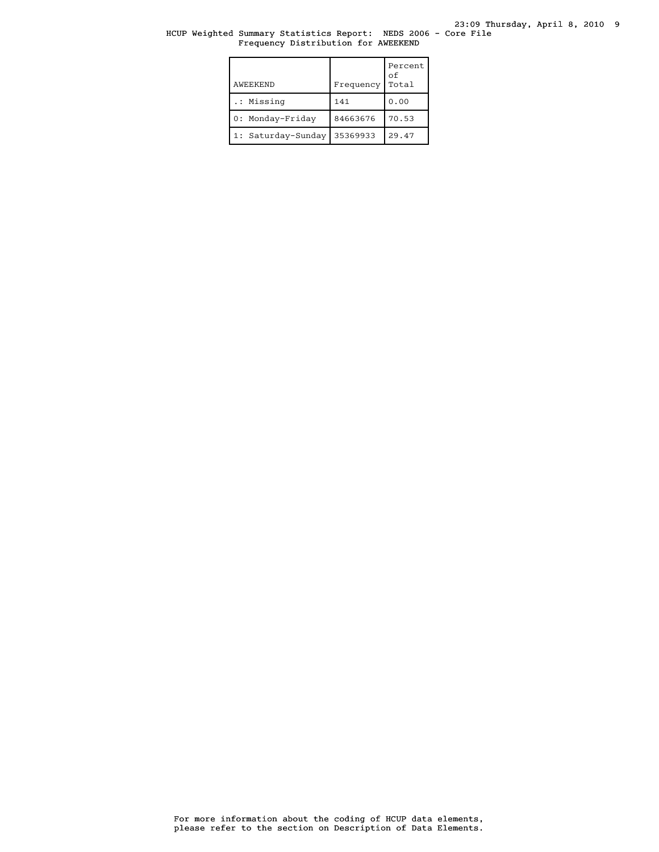#### HCUP Weighted Summary Statistics Report: NEDS 2006 - Core File Frequency Distribution for AWEEKEND

| AWEEKEND           | Frequency | Percent<br>оf<br>Total |
|--------------------|-----------|------------------------|
| .: Missing         | 141       | 0.00                   |
| 0: Monday-Friday   | 84663676  | 70.53                  |
| 1: Saturday-Sunday | 35369933  | 29.47                  |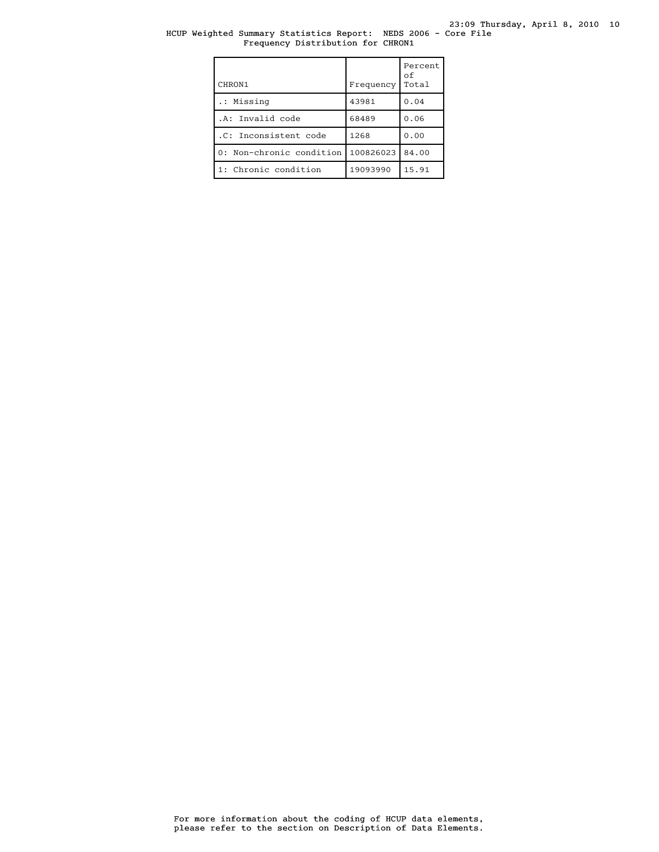#### HCUP Weighted Summary Statistics Report: NEDS 2006 - Core File Frequency Distribution for CHRON1

| CHRON1                   | Frequency | Percent<br>οf<br>Total |
|--------------------------|-----------|------------------------|
| .: Missing               | 43981     | 0.04                   |
| .A: Invalid code         | 68489     | 0.06                   |
| .C: Inconsistent code    | 1268      | 0.00                   |
| 0: Non-chronic condition | 100826023 | 84.00                  |
| 1: Chronic condition     | 19093990  | 15.91                  |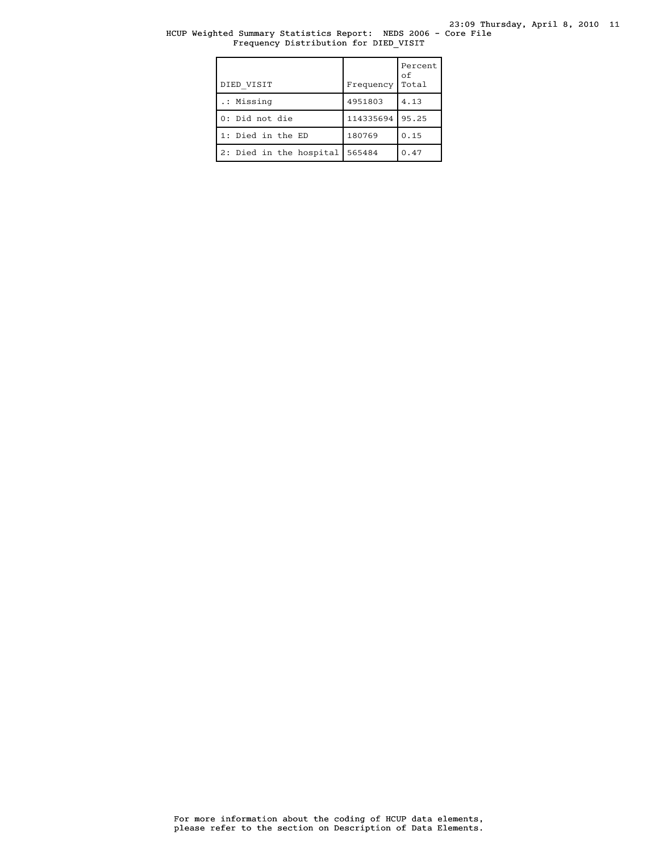#### HCUP Weighted Summary Statistics Report: NEDS 2006 - Core File Frequency Distribution for DIED\_VISIT

| DIED VISIT              | Frequency | Percent<br>оf<br>Total |
|-------------------------|-----------|------------------------|
| .: Missing              | 4951803   | 4.13                   |
| 0: Did not die          | 114335694 | 95.25                  |
| 1: Died in the ED       | 180769    | 0.15                   |
| 2: Died in the hospital | 565484    | 0.47                   |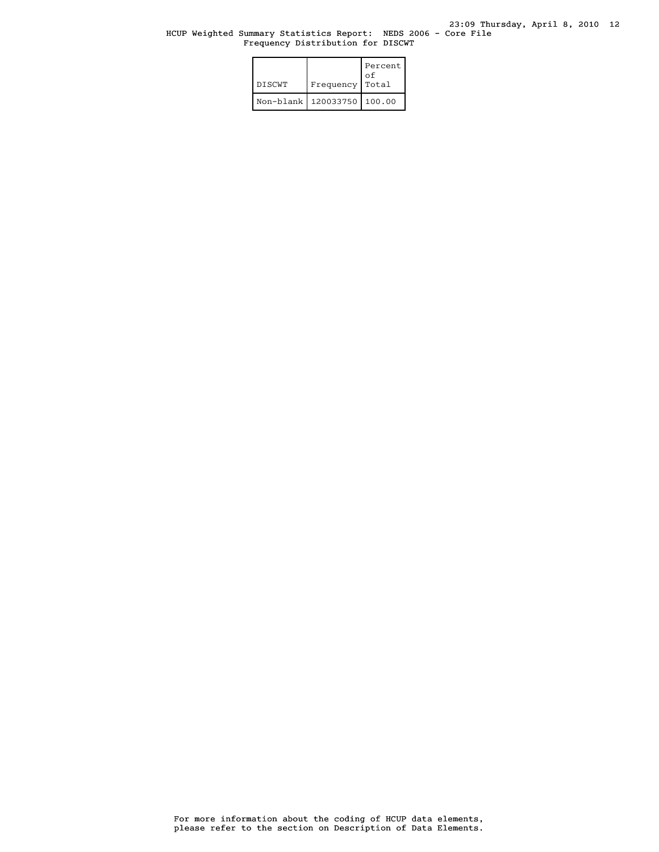#### HCUP Weighted Summary Statistics Report: NEDS 2006 - Core File Frequency Distribution for DISCWT

| <b>DISCWT</b> | Frequency                      | Percent<br>оf<br>Total |
|---------------|--------------------------------|------------------------|
|               | Non-blank   120033750   100.00 |                        |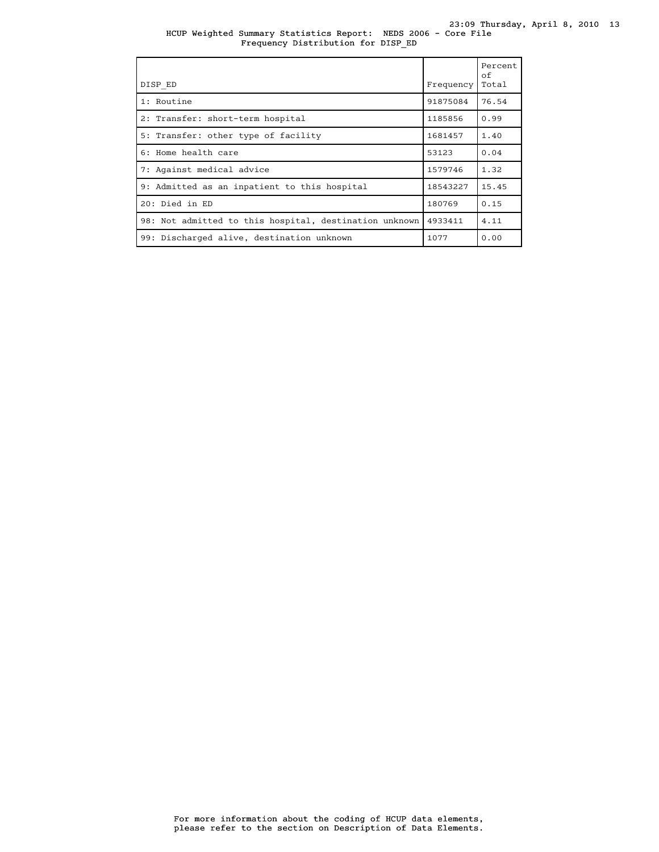#### HCUP Weighted Summary Statistics Report: NEDS 2006 - Core File 23:09 Thursday, April 8, 2010 13 Frequency Distribution for DISP\_ED

| DISP ED                                                | Frequency | Percent<br>of<br>Total |
|--------------------------------------------------------|-----------|------------------------|
| 1: Routine                                             | 91875084  | 76.54                  |
| 2: Transfer: short-term hospital                       | 1185856   | 0.99                   |
| 5: Transfer: other type of facility                    | 1681457   | 1.40                   |
| 6: Home health care                                    | 53123     | 0.04                   |
| 7: Against medical advice                              | 1579746   | 1.32                   |
| 9: Admitted as an inpatient to this hospital           | 18543227  | 15.45                  |
| $20:$ Died in $ED$                                     | 180769    | 0.15                   |
| 98: Not admitted to this hospital, destination unknown | 4933411   | 4.11                   |
| 99: Discharged alive, destination unknown              | 1077      | 0.00                   |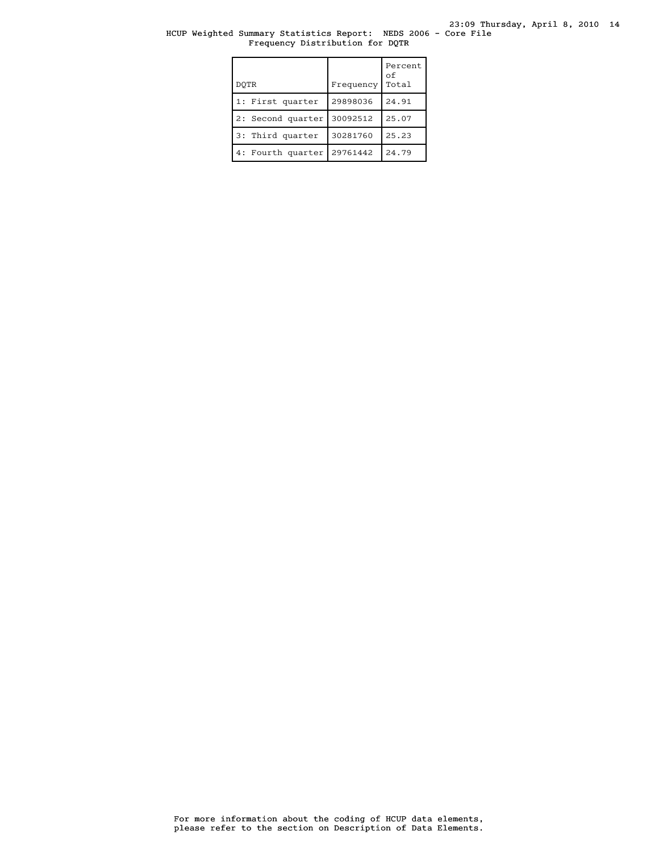23:09 Thursday, April 8, 2010 14

#### HCUP Weighted Summary Statistics Report: NEDS 2006 - Core File Frequency Distribution for DQTR

| DOTR              | Frequency | Percent<br>оf<br>Total |
|-------------------|-----------|------------------------|
| 1: First quarter  | 29898036  | 24.91                  |
| 2: Second quarter | 30092512  | 25.07                  |
| 3: Third quarter  | 30281760  | 25.23                  |
| 4: Fourth quarter | 29761442  | 24.79                  |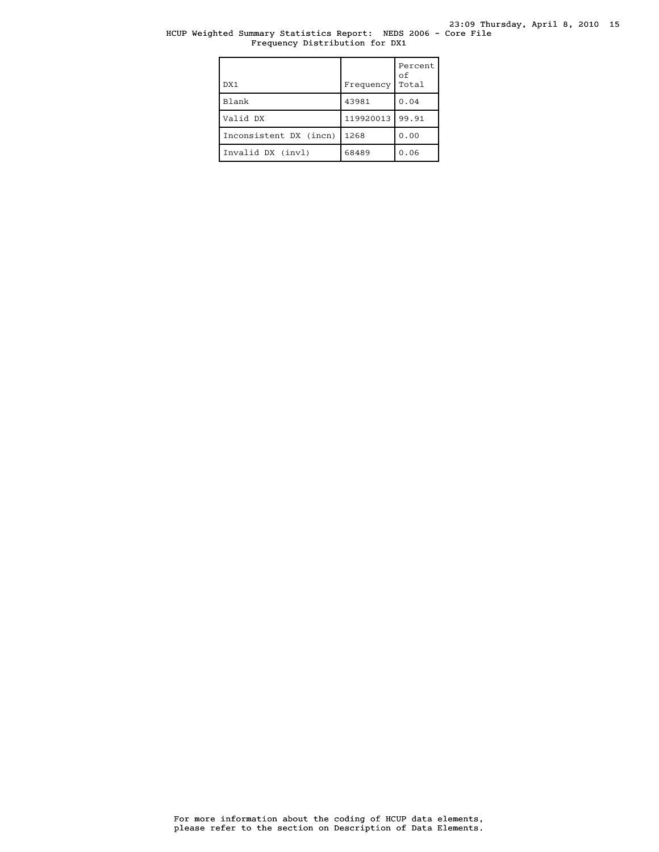### HCUP Weighted Summary Statistics Report: NEDS 2006 - Core File Frequency Distribution for DX1

| DX1                    | Frequency | Percent<br>οf<br>Total |
|------------------------|-----------|------------------------|
| Blank                  | 43981     | 0.04                   |
| Valid DX               | 119920013 | 99.91                  |
| Inconsistent DX (incn) | 1268      | 0.00                   |
| Invalid DX (invl)      | 68489     | 0.06                   |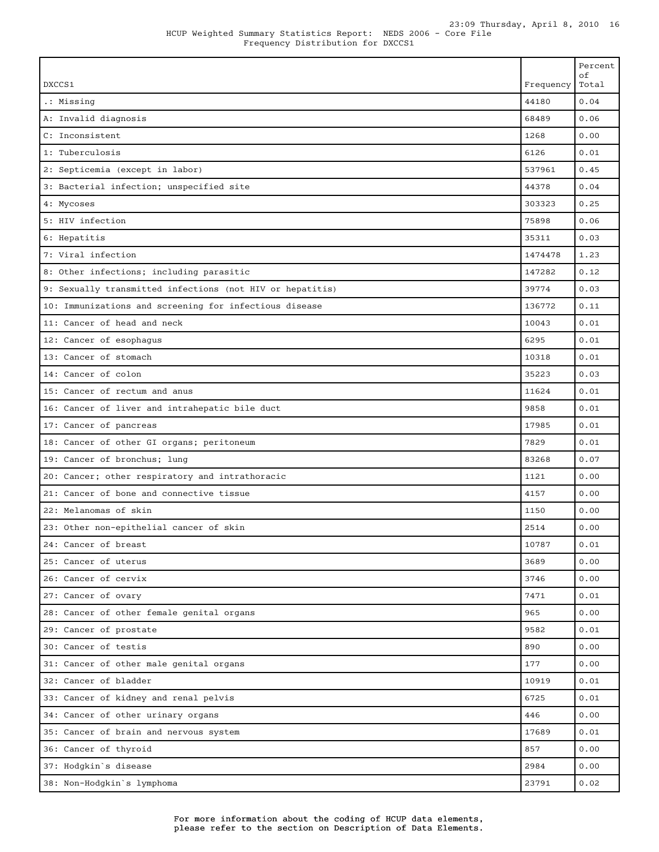| DXCCS1                                                    | Frequency | Percent<br>οf<br>Total |
|-----------------------------------------------------------|-----------|------------------------|
| .: Missing                                                | 44180     | 0.04                   |
| A: Invalid diagnosis                                      | 68489     | 0.06                   |
| C: Inconsistent                                           | 1268      | 0.00                   |
| 1: Tuberculosis                                           | 6126      | 0.01                   |
| 2: Septicemia (except in labor)                           | 537961    | 0.45                   |
| 3: Bacterial infection; unspecified site                  | 44378     | 0.04                   |
| 4: Mycoses                                                | 303323    | 0.25                   |
| 5: HIV infection                                          | 75898     | 0.06                   |
| 6: Hepatitis                                              | 35311     | 0.03                   |
| 7: Viral infection                                        | 1474478   | 1.23                   |
| 8: Other infections; including parasitic                  | 147282    | 0.12                   |
| 9: Sexually transmitted infections (not HIV or hepatitis) | 39774     | 0.03                   |
| 10: Immunizations and screening for infectious disease    | 136772    | 0.11                   |
| 11: Cancer of head and neck                               | 10043     | 0.01                   |
| 12: Cancer of esophagus                                   | 6295      | 0.01                   |
| 13: Cancer of stomach                                     | 10318     | 0.01                   |
| 14: Cancer of colon                                       | 35223     | 0.03                   |
| 15: Cancer of rectum and anus                             | 11624     | 0.01                   |
| 16: Cancer of liver and intrahepatic bile duct            | 9858      | 0.01                   |
| 17: Cancer of pancreas                                    | 17985     | 0.01                   |
| 18: Cancer of other GI organs; peritoneum                 | 7829      | 0.01                   |
| 19: Cancer of bronchus; lung                              | 83268     | 0.07                   |
| 20: Cancer; other respiratory and intrathoracic           | 1121      | 0.00                   |
| 21: Cancer of bone and connective tissue                  | 4157      | 0.00                   |
| 22: Melanomas of skin                                     | 1150      | 0.00                   |
| 23: Other non-epithelial cancer of skin                   | 2514      | 0.00                   |
| 24: Cancer of breast                                      | 10787     | 0.01                   |
| 25: Cancer of uterus                                      | 3689      | 0.00                   |
| 26: Cancer of cervix                                      | 3746      | 0.00                   |
| 27: Cancer of ovary                                       | 7471      | 0.01                   |
| 28: Cancer of other female genital organs                 | 965       | 0.00                   |
| 29: Cancer of prostate                                    | 9582      | 0.01                   |
| 30: Cancer of testis                                      | 890       | 0.00                   |
| 31: Cancer of other male genital organs                   | 177       | 0.00                   |
| 32: Cancer of bladder                                     | 10919     | 0.01                   |
| 33: Cancer of kidney and renal pelvis                     | 6725      | 0.01                   |
| 34: Cancer of other urinary organs                        | 446       | 0.00                   |
| 35: Cancer of brain and nervous system                    | 17689     | 0.01                   |
| 36: Cancer of thyroid                                     | 857       | 0.00                   |
| 37: Hodgkin's disease                                     | 2984      | 0.00                   |
| 38: Non-Hodgkin's lymphoma                                | 23791     | 0.02                   |

Г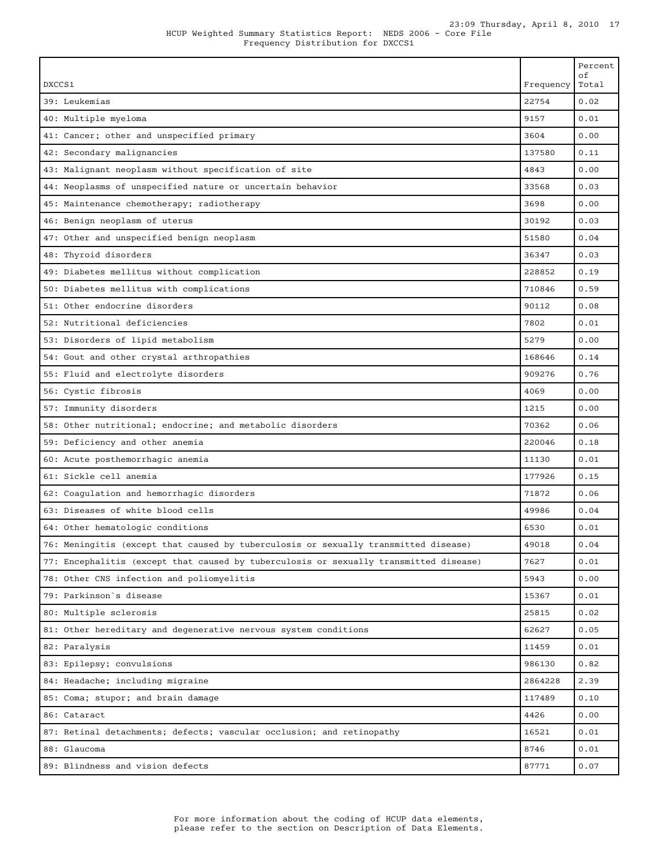| DXCCS1                                                                                | Frequency | Percent<br>οf<br>Total |
|---------------------------------------------------------------------------------------|-----------|------------------------|
| 39: Leukemias                                                                         | 22754     | 0.02                   |
| 40: Multiple myeloma                                                                  | 9157      | 0.01                   |
| 41: Cancer; other and unspecified primary                                             | 3604      | 0.00                   |
| 42: Secondary malignancies                                                            | 137580    | 0.11                   |
| 43: Malignant neoplasm without specification of site                                  | 4843      | 0.00                   |
| 44: Neoplasms of unspecified nature or uncertain behavior                             | 33568     | 0.03                   |
| 45: Maintenance chemotherapy; radiotherapy                                            | 3698      | 0.00                   |
| 46: Benign neoplasm of uterus                                                         | 30192     | 0.03                   |
| 47: Other and unspecified benign neoplasm                                             | 51580     | 0.04                   |
| 48: Thyroid disorders                                                                 | 36347     | 0.03                   |
| 49: Diabetes mellitus without complication                                            | 228852    | 0.19                   |
| 50: Diabetes mellitus with complications                                              | 710846    | 0.59                   |
| 51: Other endocrine disorders                                                         | 90112     | 0.08                   |
| 52: Nutritional deficiencies                                                          | 7802      | 0.01                   |
| 53: Disorders of lipid metabolism                                                     | 5279      | 0.00                   |
| 54: Gout and other crystal arthropathies                                              | 168646    | 0.14                   |
| 55: Fluid and electrolyte disorders                                                   | 909276    | 0.76                   |
| 56: Cystic fibrosis                                                                   | 4069      | 0.00                   |
| 57: Immunity disorders                                                                | 1215      | 0.00                   |
| 58: Other nutritional; endocrine; and metabolic disorders                             | 70362     | 0.06                   |
| 59: Deficiency and other anemia                                                       | 220046    | 0.18                   |
| 60: Acute posthemorrhagic anemia                                                      | 11130     | 0.01                   |
| 61: Sickle cell anemia                                                                | 177926    | 0.15                   |
| 62: Coagulation and hemorrhagic disorders                                             | 71872     | 0.06                   |
| 63: Diseases of white blood cells                                                     | 49986     | 0.04                   |
| 64: Other hematologic conditions                                                      | 6530      | 0.01                   |
| 76: Meningitis (except that caused by tuberculosis or sexually transmitted disease)   | 49018     | 0.04                   |
| 77: Encephalitis (except that caused by tuberculosis or sexually transmitted disease) | 7627      | 0.01                   |
| 78: Other CNS infection and poliomyelitis                                             | 5943      | 0.00                   |
| 79: Parkinson's disease                                                               | 15367     | 0.01                   |
| 80: Multiple sclerosis                                                                | 25815     | 0.02                   |
| 81: Other hereditary and degenerative nervous system conditions                       | 62627     | 0.05                   |
| 82: Paralysis                                                                         | 11459     | 0.01                   |
| 83: Epilepsy; convulsions                                                             | 986130    | 0.82                   |
| 84: Headache; including migraine                                                      | 2864228   | 2.39                   |
| 85: Coma; stupor; and brain damage                                                    | 117489    | 0.10                   |
| 86: Cataract                                                                          | 4426      | 0.00                   |
| 87: Retinal detachments; defects; vascular occlusion; and retinopathy                 | 16521     | 0.01                   |
| 88: Glaucoma                                                                          | 8746      | 0.01                   |
| 89: Blindness and vision defects                                                      | 87771     | 0.07                   |

Г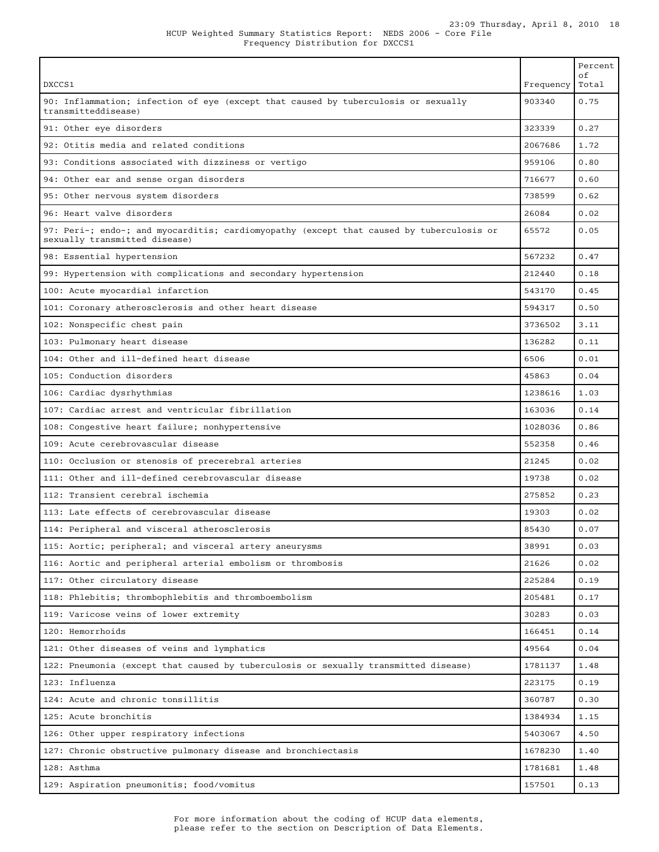| DXCCS1                                                                                                                    | Frequency | Percent<br>оf<br>Total |
|---------------------------------------------------------------------------------------------------------------------------|-----------|------------------------|
| 90: Inflammation; infection of eye (except that caused by tuberculosis or sexually<br>transmitteddisease)                 | 903340    | 0.75                   |
| 91: Other eye disorders                                                                                                   | 323339    | 0.27                   |
| 92: Otitis media and related conditions                                                                                   | 2067686   | 1.72                   |
| 93: Conditions associated with dizziness or vertigo                                                                       | 959106    | 0.80                   |
| 94: Other ear and sense organ disorders                                                                                   | 716677    | 0.60                   |
| 95: Other nervous system disorders                                                                                        | 738599    | 0.62                   |
| 96: Heart valve disorders                                                                                                 | 26084     | 0.02                   |
| 97: Peri-; endo-; and myocarditis; cardiomyopathy (except that caused by tuberculosis or<br>sexually transmitted disease) | 65572     | 0.05                   |
| 98: Essential hypertension                                                                                                | 567232    | 0.47                   |
| 99: Hypertension with complications and secondary hypertension                                                            | 212440    | 0.18                   |
| 100: Acute myocardial infarction                                                                                          | 543170    | 0.45                   |
| 101: Coronary atherosclerosis and other heart disease                                                                     | 594317    | 0.50                   |
| 102: Nonspecific chest pain                                                                                               | 3736502   | 3.11                   |
| 103: Pulmonary heart disease                                                                                              | 136282    | 0.11                   |
| 104: Other and ill-defined heart disease                                                                                  | 6506      | 0.01                   |
| 105: Conduction disorders                                                                                                 | 45863     | 0.04                   |
| 106: Cardiac dysrhythmias                                                                                                 | 1238616   | 1.03                   |
| 107: Cardiac arrest and ventricular fibrillation                                                                          | 163036    | 0.14                   |
| 108: Congestive heart failure; nonhypertensive                                                                            | 1028036   | 0.86                   |
| 109: Acute cerebrovascular disease                                                                                        | 552358    | 0.46                   |
| 110: Occlusion or stenosis of precerebral arteries                                                                        | 21245     | 0.02                   |
| 111: Other and ill-defined cerebrovascular disease                                                                        | 19738     | 0.02                   |
| 112: Transient cerebral ischemia                                                                                          | 275852    | 0.23                   |
| 113: Late effects of cerebrovascular disease                                                                              | 19303     | 0.02                   |
| 114: Peripheral and visceral atherosclerosis                                                                              | 85430     | 0.07                   |
| 115: Aortic; peripheral; and visceral artery aneurysms                                                                    | 38991     | 0.03                   |
| 116: Aortic and peripheral arterial embolism or thrombosis                                                                | 21626     | 0.02                   |
| 117: Other circulatory disease                                                                                            | 225284    | 0.19                   |
| 118: Phlebitis; thrombophlebitis and thromboembolism                                                                      | 205481    | 0.17                   |
| 119: Varicose veins of lower extremity                                                                                    | 30283     | 0.03                   |
| 120: Hemorrhoids                                                                                                          | 166451    | 0.14                   |
| 121: Other diseases of veins and lymphatics                                                                               | 49564     | 0.04                   |
| 122: Pneumonia (except that caused by tuberculosis or sexually transmitted disease)                                       | 1781137   | 1.48                   |
| 123: Influenza                                                                                                            | 223175    | 0.19                   |
| 124: Acute and chronic tonsillitis                                                                                        | 360787    | 0.30                   |
| 125: Acute bronchitis                                                                                                     | 1384934   | 1.15                   |
| 126: Other upper respiratory infections                                                                                   | 5403067   | 4.50                   |
| 127: Chronic obstructive pulmonary disease and bronchiectasis                                                             | 1678230   | 1.40                   |
| 128: Asthma                                                                                                               | 1781681   | 1.48                   |
| 129: Aspiration pneumonitis; food/vomitus                                                                                 | 157501    | 0.13                   |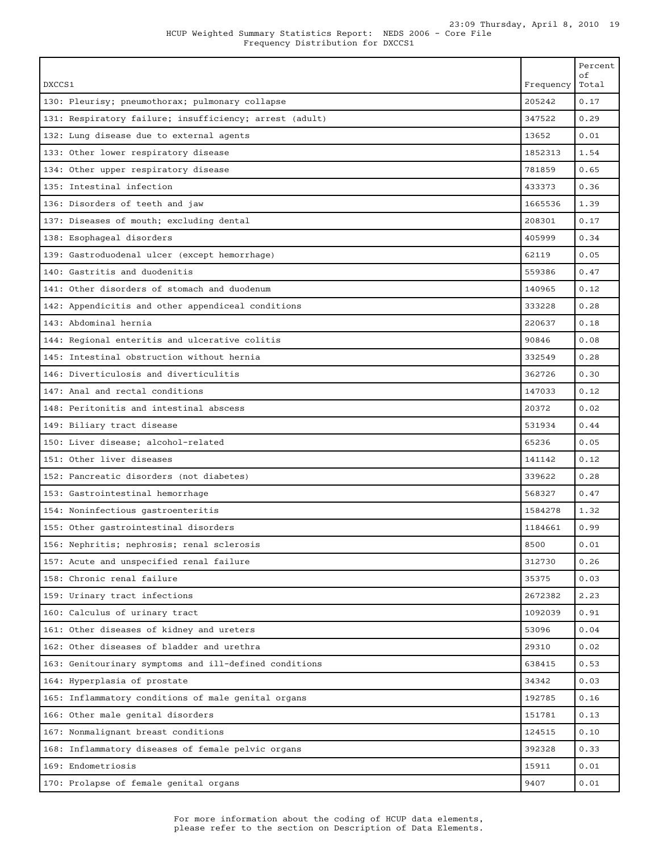| IP Weighted Summary Statistics Report: NEDS 2006 - Core |                                   |  |  |  |  |
|---------------------------------------------------------|-----------------------------------|--|--|--|--|
|                                                         | Frequency Distribution for DXCCS1 |  |  |  |  |

| DXCCS1                                                                         | Frequency | Percent<br>оf<br>Total |
|--------------------------------------------------------------------------------|-----------|------------------------|
| 130: Pleurisy; pneumothorax; pulmonary collapse                                | 205242    | 0.17                   |
| 131: Respiratory failure; insufficiency; arrest (adult)                        | 347522    | 0.29                   |
| 132: Lung disease due to external agents                                       | 13652     | 0.01                   |
| 133: Other lower respiratory disease                                           | 1852313   | 1.54                   |
| 134: Other upper respiratory disease                                           | 781859    | 0.65                   |
| 135: Intestinal infection                                                      | 433373    | 0.36                   |
| 136: Disorders of teeth and jaw                                                | 1665536   | 1.39                   |
| 137: Diseases of mouth; excluding dental                                       | 208301    | 0.17                   |
| 138: Esophageal disorders                                                      | 405999    | 0.34                   |
|                                                                                | 62119     | 0.05                   |
| 139: Gastroduodenal ulcer (except hemorrhage)<br>140: Gastritis and duodenitis |           |                        |
|                                                                                | 559386    | 0.47                   |
| 141: Other disorders of stomach and duodenum                                   | 140965    | 0.12                   |
| 142: Appendicitis and other appendiceal conditions                             | 333228    | 0.28                   |
| 143: Abdominal hernia                                                          | 220637    | 0.18                   |
| 144: Regional enteritis and ulcerative colitis                                 | 90846     | 0.08                   |
| 145: Intestinal obstruction without hernia                                     | 332549    | 0.28                   |
| 146: Diverticulosis and diverticulitis                                         | 362726    | 0.30                   |
| 147: Anal and rectal conditions                                                | 147033    | 0.12                   |
| 148: Peritonitis and intestinal abscess                                        | 20372     | 0.02                   |
| 149: Biliary tract disease                                                     | 531934    | 0.44                   |
| 150: Liver disease; alcohol-related                                            | 65236     | 0.05                   |
| 151: Other liver diseases                                                      | 141142    | 0.12                   |
| 152: Pancreatic disorders (not diabetes)                                       | 339622    | 0.28                   |
| 153: Gastrointestinal hemorrhage                                               | 568327    | 0.47                   |
| 154: Noninfectious gastroenteritis                                             | 1584278   | 1.32                   |
| 155: Other gastrointestinal disorders                                          | 1184661   | 0.99                   |
| 156: Nephritis; nephrosis; renal sclerosis                                     | 8500      | 0.01                   |
| 157: Acute and unspecified renal failure                                       | 312730    | 0.26                   |
| 158: Chronic renal failure                                                     | 35375     | 0.03                   |
| 159: Urinary tract infections                                                  | 2672382   | 2.23                   |
| 160: Calculus of urinary tract                                                 | 1092039   | 0.91                   |
| 161: Other diseases of kidney and ureters                                      | 53096     | 0.04                   |
| 162: Other diseases of bladder and urethra                                     | 29310     | 0.02                   |
| 163: Genitourinary symptoms and ill-defined conditions                         | 638415    | 0.53                   |
| 164: Hyperplasia of prostate                                                   | 34342     | 0.03                   |
| 165: Inflammatory conditions of male genital organs                            | 192785    | 0.16                   |
| 166: Other male genital disorders                                              | 151781    | 0.13                   |
| 167: Nonmalignant breast conditions                                            | 124515    | 0.10                   |
| 168: Inflammatory diseases of female pelvic organs                             | 392328    | 0.33                   |
| 169: Endometriosis                                                             | 15911     | 0.01                   |
| 170: Prolapse of female genital organs                                         | 9407      | 0.01                   |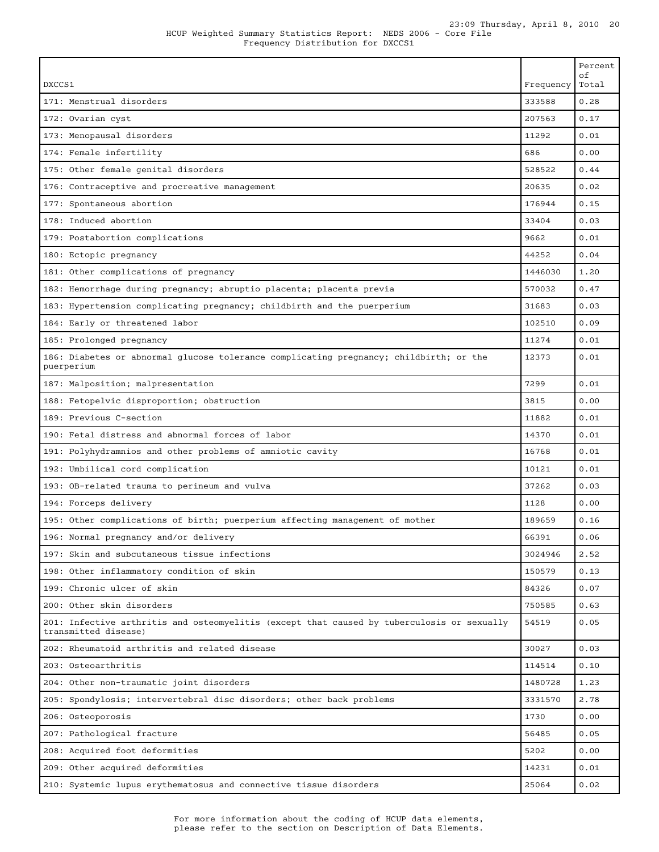Т

| DXCCS1                                                                                                             | Frequency | Percent<br>οf<br>Total |
|--------------------------------------------------------------------------------------------------------------------|-----------|------------------------|
| 171: Menstrual disorders                                                                                           | 333588    | 0.28                   |
| 172: Ovarian cyst                                                                                                  | 207563    | 0.17                   |
| 173: Menopausal disorders                                                                                          | 11292     | 0.01                   |
| 174: Female infertility                                                                                            | 686       | 0.00                   |
| 175: Other female genital disorders                                                                                | 528522    | 0.44                   |
| 176: Contraceptive and procreative management                                                                      | 20635     | 0.02                   |
| 177: Spontaneous abortion                                                                                          | 176944    | 0.15                   |
| 178: Induced abortion                                                                                              | 33404     | 0.03                   |
| 179: Postabortion complications                                                                                    | 9662      | 0.01                   |
| 180: Ectopic pregnancy                                                                                             | 44252     | 0.04                   |
| 181: Other complications of pregnancy                                                                              | 1446030   | 1.20                   |
| 182: Hemorrhage during pregnancy; abruptio placenta; placenta previa                                               | 570032    | 0.47                   |
| 183: Hypertension complicating pregnancy; childbirth and the puerperium                                            | 31683     | 0.03                   |
| 184: Early or threatened labor                                                                                     | 102510    | 0.09                   |
| 185: Prolonged pregnancy                                                                                           | 11274     | 0.01                   |
| 186: Diabetes or abnormal glucose tolerance complicating pregnancy; childbirth; or the<br>puerperium               | 12373     | 0.01                   |
| 187: Malposition; malpresentation                                                                                  | 7299      | 0.01                   |
| 188: Fetopelvic disproportion; obstruction                                                                         | 3815      | 0.00                   |
| 189: Previous C-section                                                                                            | 11882     | 0.01                   |
| 190: Fetal distress and abnormal forces of labor                                                                   | 14370     | 0.01                   |
| 191: Polyhydramnios and other problems of amniotic cavity                                                          | 16768     | 0.01                   |
| 192: Umbilical cord complication                                                                                   | 10121     | 0.01                   |
| 193: OB-related trauma to perineum and vulva                                                                       | 37262     | 0.03                   |
| 194: Forceps delivery                                                                                              | 1128      | 0.00                   |
| 195: Other complications of birth; puerperium affecting management of mother                                       | 189659    | 0.16                   |
| 196: Normal pregnancy and/or delivery                                                                              | 66391     | 0.06                   |
| 197: Skin and subcutaneous tissue infections                                                                       | 3024946   | 2.52                   |
| 198: Other inflammatory condition of skin                                                                          | 150579    | 0.13                   |
| 199: Chronic ulcer of skin                                                                                         | 84326     | 0.07                   |
| 200: Other skin disorders                                                                                          | 750585    | 0.63                   |
| 201: Infective arthritis and osteomyelitis (except that caused by tuberculosis or sexually<br>transmitted disease) | 54519     | 0.05                   |
| 202: Rheumatoid arthritis and related disease                                                                      | 30027     | 0.03                   |
| 203: Osteoarthritis                                                                                                | 114514    | 0.10                   |
| 204: Other non-traumatic joint disorders                                                                           | 1480728   | 1.23                   |
| 205: Spondylosis; intervertebral disc disorders; other back problems                                               | 3331570   | 2.78                   |
| 206: Osteoporosis                                                                                                  | 1730      | 0.00                   |
| 207: Pathological fracture                                                                                         | 56485     | 0.05                   |
| 208: Acquired foot deformities                                                                                     | 5202      | 0.00                   |
| 209: Other acquired deformities                                                                                    | 14231     | 0.01                   |
| 210: Systemic lupus erythematosus and connective tissue disorders                                                  | 25064     | 0.02                   |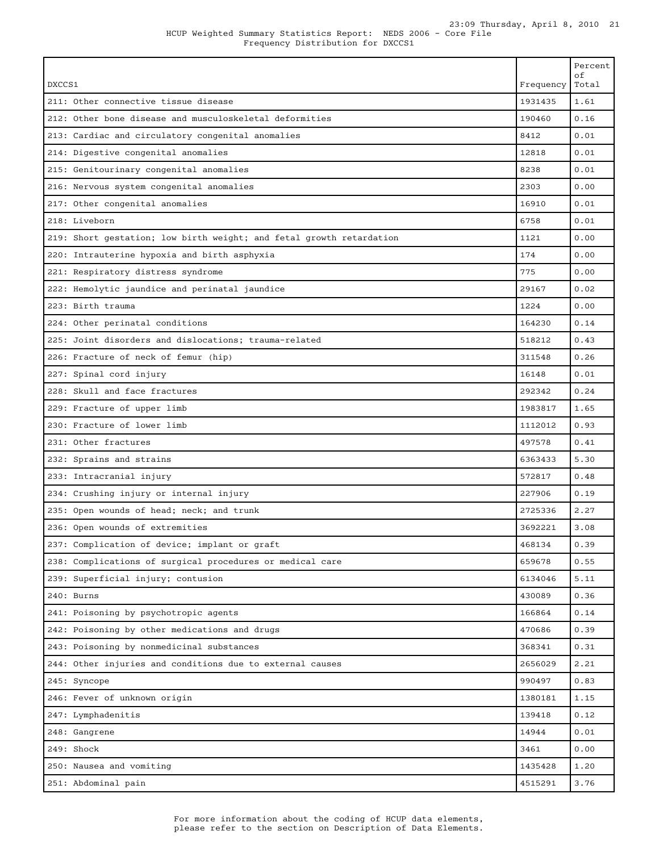|                                                                      |           | Percent<br>оf |
|----------------------------------------------------------------------|-----------|---------------|
| DXCCS1                                                               | Frequency | Total         |
| 211: Other connective tissue disease                                 | 1931435   | 1.61          |
| 212: Other bone disease and musculoskeletal deformities              | 190460    | 0.16          |
| 213: Cardiac and circulatory congenital anomalies                    | 8412      | 0.01          |
| 214: Digestive congenital anomalies                                  | 12818     | 0.01          |
| 215: Genitourinary congenital anomalies                              | 8238      | 0.01          |
| 216: Nervous system congenital anomalies                             | 2303      | 0.00          |
| 217: Other congenital anomalies                                      | 16910     | 0.01          |
| 218: Liveborn                                                        | 6758      | 0.01          |
| 219: Short gestation; low birth weight; and fetal growth retardation | 1121      | 0.00          |
| 220: Intrauterine hypoxia and birth asphyxia                         | 174       | 0.00          |
| 221: Respiratory distress syndrome                                   | 775       | 0.00          |
| 222: Hemolytic jaundice and perinatal jaundice                       | 29167     | 0.02          |
| 223: Birth trauma                                                    | 1224      | 0.00          |
| 224: Other perinatal conditions                                      | 164230    | 0.14          |
| 225: Joint disorders and dislocations; trauma-related                | 518212    | 0.43          |
| 226: Fracture of neck of femur (hip)                                 | 311548    | 0.26          |
| 227: Spinal cord injury                                              | 16148     | 0.01          |
| 228: Skull and face fractures                                        | 292342    | 0.24          |
| 229: Fracture of upper limb                                          | 1983817   | 1.65          |
| 230: Fracture of lower limb                                          | 1112012   | 0.93          |
| 231: Other fractures                                                 | 497578    | 0.41          |
| 232: Sprains and strains                                             | 6363433   | 5.30          |
| 233: Intracranial injury                                             | 572817    | 0.48          |
| 234: Crushing injury or internal injury                              | 227906    | 0.19          |
| 235: Open wounds of head; neck; and trunk                            | 2725336   | 2.27          |
| 236: Open wounds of extremities                                      | 3692221   | 3.08          |
| 237: Complication of device; implant or graft                        | 468134    | 0.39          |
| 238: Complications of surgical procedures or medical care            | 659678    | 0.55          |
| 239: Superficial injury; contusion                                   | 6134046   | 5.11          |
| 240: Burns                                                           | 430089    | 0.36          |
| 241: Poisoning by psychotropic agents                                | 166864    | 0.14          |
| 242: Poisoning by other medications and drugs                        | 470686    | 0.39          |
| 243: Poisoning by nonmedicinal substances                            | 368341    | 0.31          |
| 244: Other injuries and conditions due to external causes            | 2656029   | 2.21          |
| 245: Syncope                                                         | 990497    | 0.83          |
| 246: Fever of unknown origin                                         | 1380181   | 1.15          |
| 247: Lymphadenitis                                                   | 139418    | 0.12          |
| 248: Gangrene                                                        | 14944     | 0.01          |
| 249: Shock                                                           | 3461      | 0.00          |
| 250: Nausea and vomiting                                             | 1435428   | 1.20          |
| 251: Abdominal pain                                                  | 4515291   | 3.76          |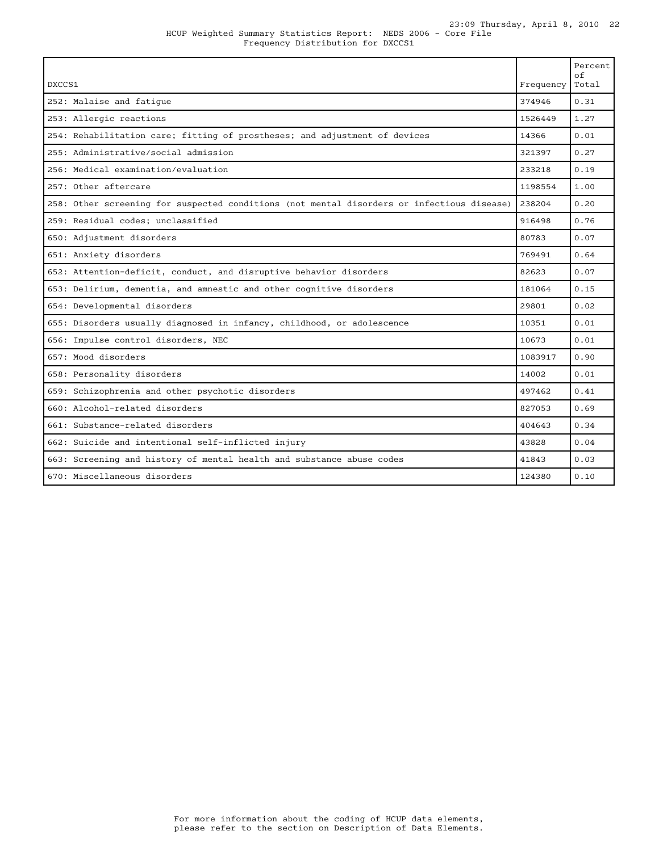| DXCCS1                                                                                     | Frequency | Percent<br>of<br>Total |
|--------------------------------------------------------------------------------------------|-----------|------------------------|
| 252: Malaise and fatique                                                                   | 374946    | 0.31                   |
| 253: Allergic reactions                                                                    | 1526449   | 1.27                   |
| 254: Rehabilitation care; fitting of prostheses; and adjustment of devices                 | 14366     | 0.01                   |
| 255: Administrative/social admission                                                       | 321397    | 0.27                   |
| 256: Medical examination/evaluation                                                        | 233218    | 0.19                   |
| 257: Other aftercare                                                                       | 1198554   | 1.00                   |
| 258: Other screening for suspected conditions (not mental disorders or infectious disease) | 238204    | 0.20                   |
| 259: Residual codes; unclassified                                                          | 916498    | 0.76                   |
| 650: Adjustment disorders                                                                  | 80783     | 0.07                   |
| 651: Anxiety disorders                                                                     | 769491    | 0.64                   |
| 652: Attention-deficit, conduct, and disruptive behavior disorders                         | 82623     | 0.07                   |
| 653: Delirium, dementia, and amnestic and other cognitive disorders                        | 181064    | 0.15                   |
| 654: Developmental disorders                                                               | 29801     | 0.02                   |
| 655: Disorders usually diagnosed in infancy, childhood, or adolescence                     | 10351     | 0.01                   |
| 656: Impulse control disorders, NEC                                                        | 10673     | 0.01                   |
| 657: Mood disorders                                                                        | 1083917   | 0.90                   |
| 658: Personality disorders                                                                 | 14002     | 0.01                   |
| 659: Schizophrenia and other psychotic disorders                                           | 497462    | 0.41                   |
| 660: Alcohol-related disorders                                                             | 827053    | 0.69                   |
| 661: Substance-related disorders                                                           | 404643    | 0.34                   |
| 662: Suicide and intentional self-inflicted injury                                         | 43828     | 0.04                   |
| 663: Screening and history of mental health and substance abuse codes                      | 41843     | 0.03                   |
| 670: Miscellaneous disorders                                                               | 124380    | 0.10                   |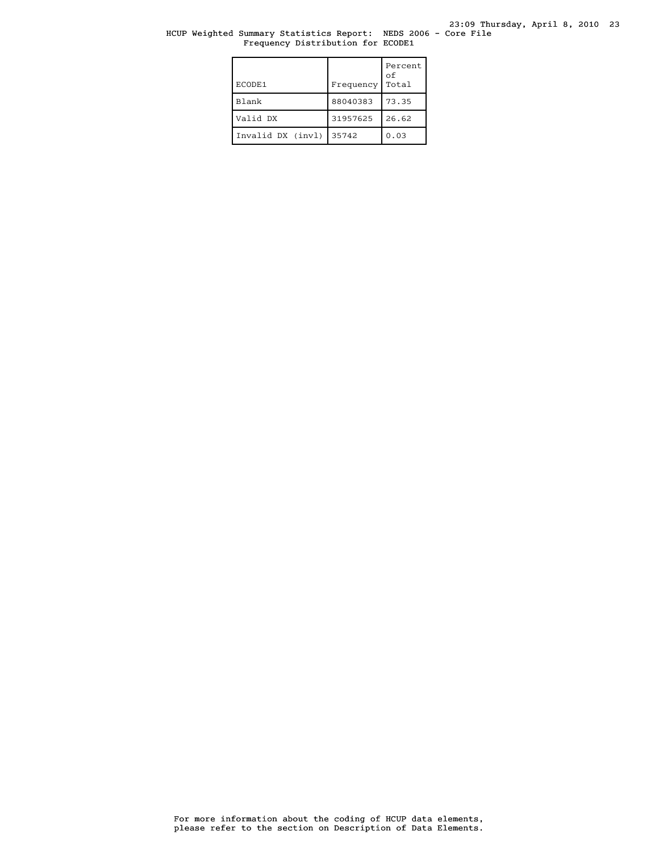#### HCUP Weighted Summary Statistics Report: NEDS 2006 - Core File Frequency Distribution for ECODE1

| ECODE1            | Frequency | Percent<br>of<br>Total |
|-------------------|-----------|------------------------|
| <b>Blank</b>      | 88040383  | 73.35                  |
| Valid DX          | 31957625  | 26.62                  |
| Invalid DX (invl) | 35742     | 0.03                   |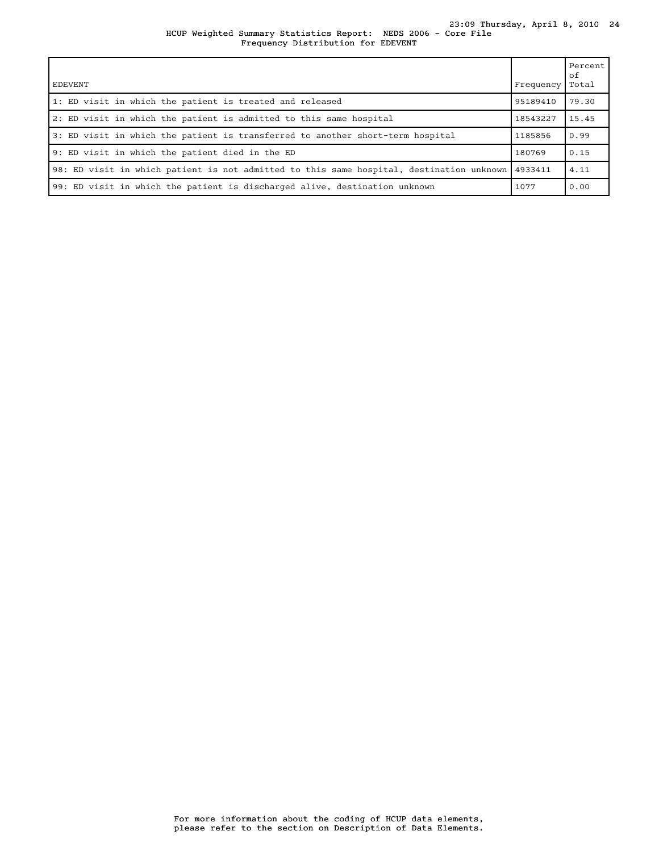#### HCUP Weighted Summary Statistics Report: NEDS 2006 - Core File 23:09 Thursday, April 8, 2010 24 Frequency Distribution for EDEVENT

| <b>EDEVENT</b>                                                                           | Frequency | Percent<br>оf<br>Total |
|------------------------------------------------------------------------------------------|-----------|------------------------|
| 1: ED visit in which the patient is treated and released                                 | 95189410  | 79.30                  |
| 2: ED visit in which the patient is admitted to this same hospital                       | 18543227  | 15.45                  |
| 3: ED visit in which the patient is transferred to another short-term hospital           | 1185856   | 0.99                   |
| 9: ED visit in which the patient died in the ED                                          | 180769    | 0.15                   |
| 98: ED visit in which patient is not admitted to this same hospital, destination unknown | 4933411   | 4.11                   |
| 99: ED visit in which the patient is discharged alive, destination unknown               | 1077      | 0.00                   |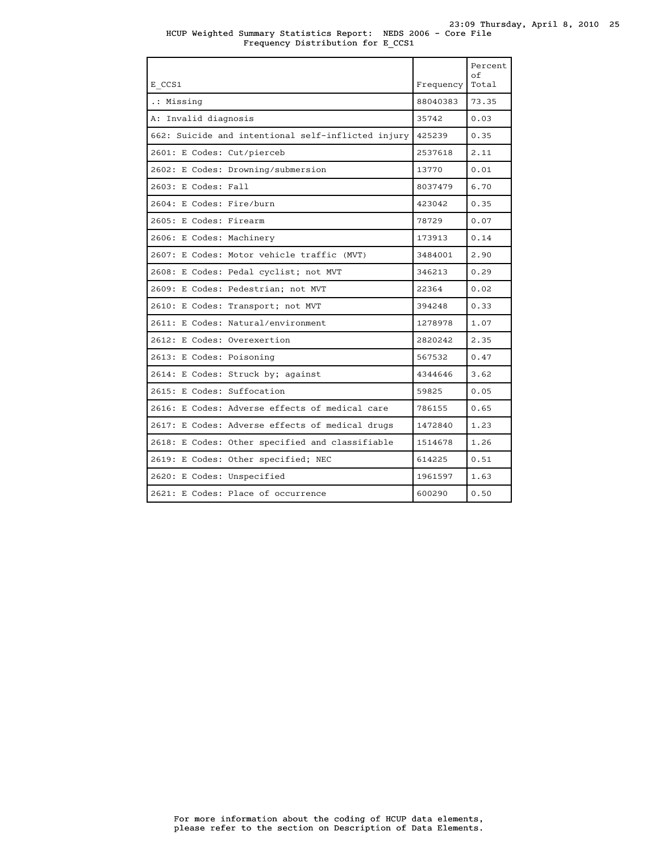|                                                    |           | Percent<br>of |
|----------------------------------------------------|-----------|---------------|
| E CCS1                                             | Frequency | Total         |
| .: Missing                                         | 88040383  | 73.35         |
| A: Invalid diagnosis                               | 35742     | 0.03          |
| 662: Suicide and intentional self-inflicted injury | 425239    | 0.35          |
| 2601: E Codes: Cut/pierceb                         | 2537618   | 2.11          |
| 2602: E Codes: Drowning/submersion                 | 13770     | 0.01          |
| 2603: E Codes: Fall                                | 8037479   | 6.70          |
| 2604: E Codes: Fire/burn                           | 423042    | 0.35          |
| 2605: E Codes: Firearm                             | 78729     | 0.07          |
| 2606: E Codes: Machinery                           | 173913    | 0.14          |
| 2607: E Codes: Motor vehicle traffic (MVT)         | 3484001   | 2.90          |
| 2608: E Codes: Pedal cyclist; not MVT              | 346213    | 0.29          |
| 2609: E Codes: Pedestrian; not MVT                 | 22364     | 0.02          |
| 2610: E Codes: Transport; not MVT                  | 394248    | 0.33          |
| 2611: E Codes: Natural/environment                 | 1278978   | 1.07          |
| 2612: E Codes: Overexertion                        | 2820242   | 2.35          |
| 2613: E Codes: Poisoning                           | 567532    | 0.47          |
| 2614: E Codes: Struck by; against                  | 4344646   | 3.62          |
| 2615: E Codes: Suffocation                         | 59825     | 0.05          |
| 2616: E Codes: Adverse effects of medical care     | 786155    | 0.65          |
| 2617: E Codes: Adverse effects of medical drugs    | 1472840   | 1.23          |
| 2618: E Codes: Other specified and classifiable    | 1514678   | 1.26          |
| 2619: E Codes: Other specified; NEC                | 614225    | 0.51          |
| 2620: E Codes: Unspecified                         | 1961597   | 1.63          |
| 2621: E Codes: Place of occurrence                 | 600290    | 0.50          |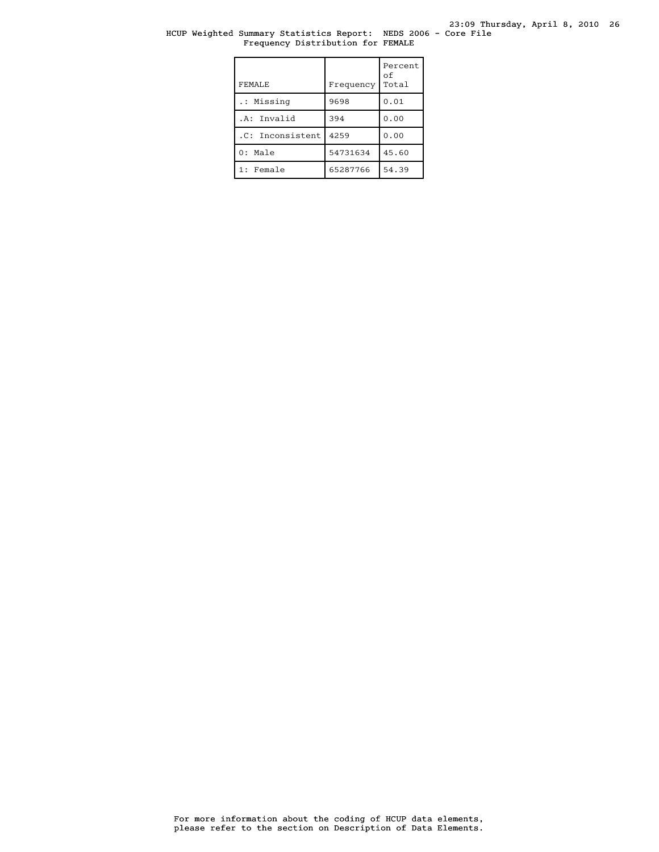#### HCUP Weighted Summary Statistics Report: NEDS 2006 - Core File Frequency Distribution for FEMALE

| FEMALE.          | Frequency | Percent<br>οf<br>Total |
|------------------|-----------|------------------------|
| .: Missing       | 9698      | 0.01                   |
| .A: Invalid      | 394       | 0.00                   |
| .C: Inconsistent | 4259      | 0.00                   |
| $0:$ Male        | 54731634  | 45.60                  |
| 1: Female        | 65287766  | 54.39                  |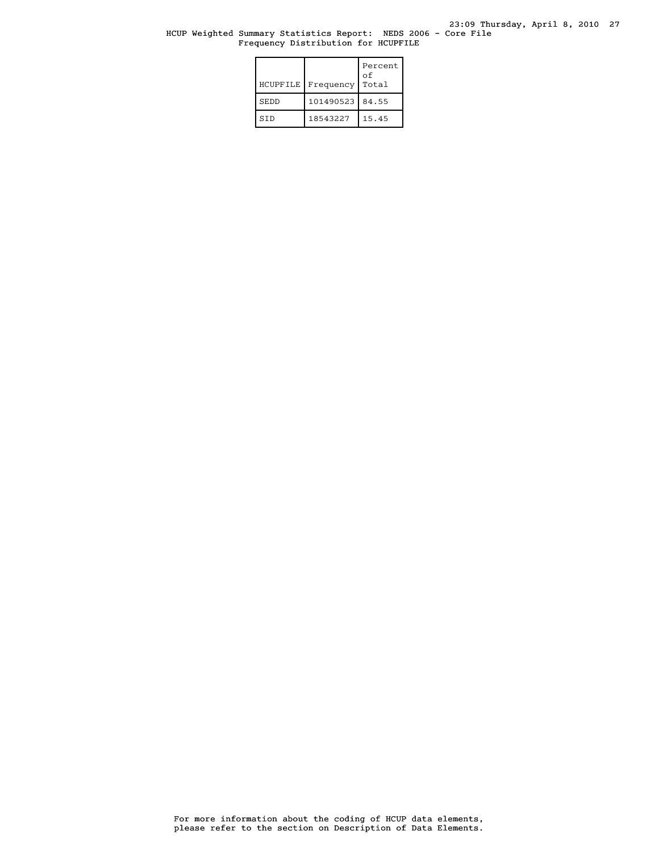#### HCUP Weighted Summary Statistics Report: NEDS 2006 - Core File Frequency Distribution for HCUPFILE

| HCUPFILE    | Frequency | Percent<br>οf<br>Total |
|-------------|-----------|------------------------|
| <b>SEDD</b> | 101490523 | 84.55                  |
| STD         | 18543227  | 15.45                  |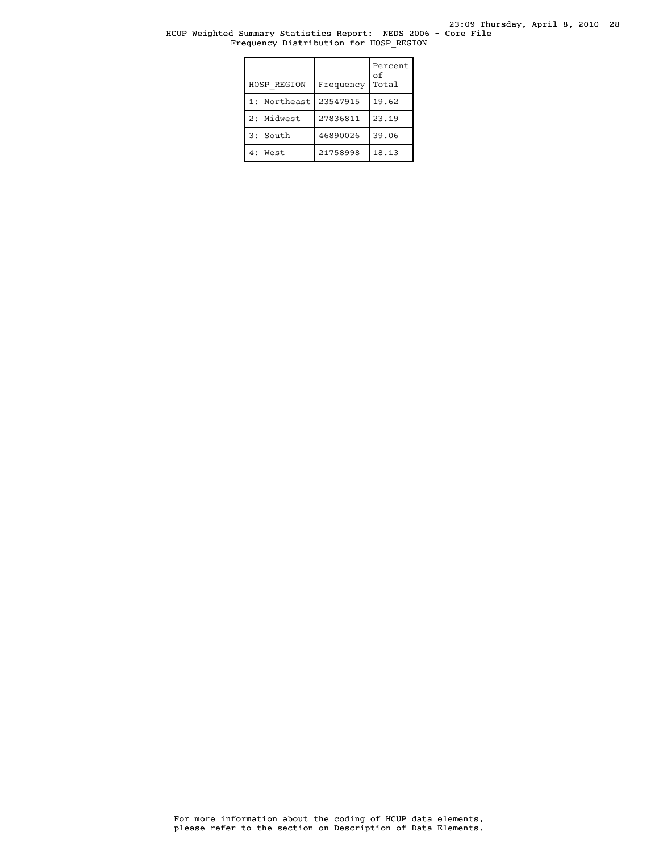#### HCUP Weighted Summary Statistics Report: NEDS 2006 - Core File Frequency Distribution for HOSP\_REGION

| HOSP REGION     | Frequency | Percent<br>οf<br>Total |
|-----------------|-----------|------------------------|
| Northeast<br>1: | 23547915  | 19.62                  |
| 2: Midwest      | 27836811  | 23.19                  |
| 3: South        | 46890026  | 39.06                  |
| 4: West         | 21758998  | 18.13                  |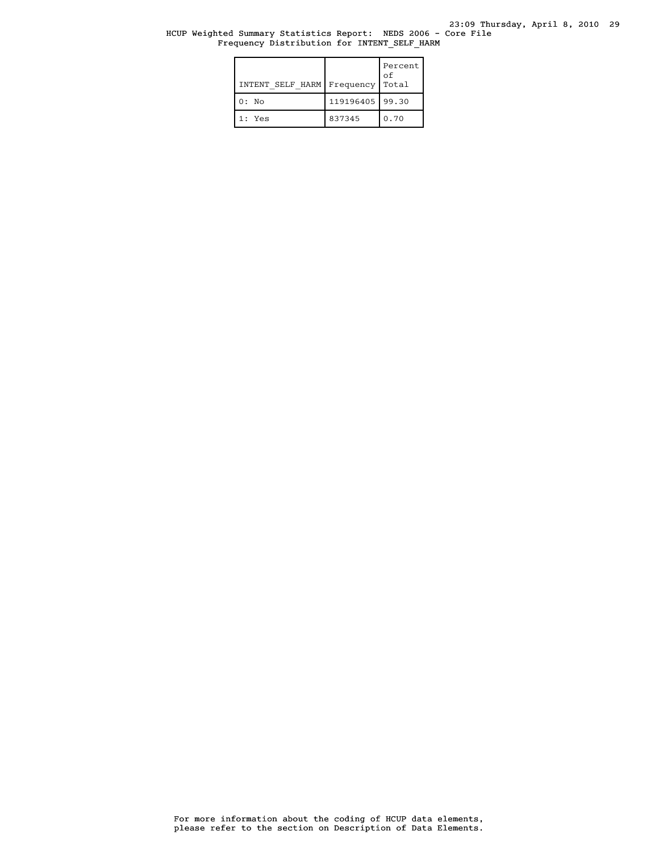#### HCUP Weighted Summary Statistics Report: NEDS 2006 - Core File Frequency Distribution for INTENT\_SELF\_HARM

| INTENT SELF HARM | Frequency         | Percent<br>οf<br>Total |
|------------------|-------------------|------------------------|
| $0:$ No          | 119196405   99.30 |                        |
| 1: Yes           | 837345            | 0.70                   |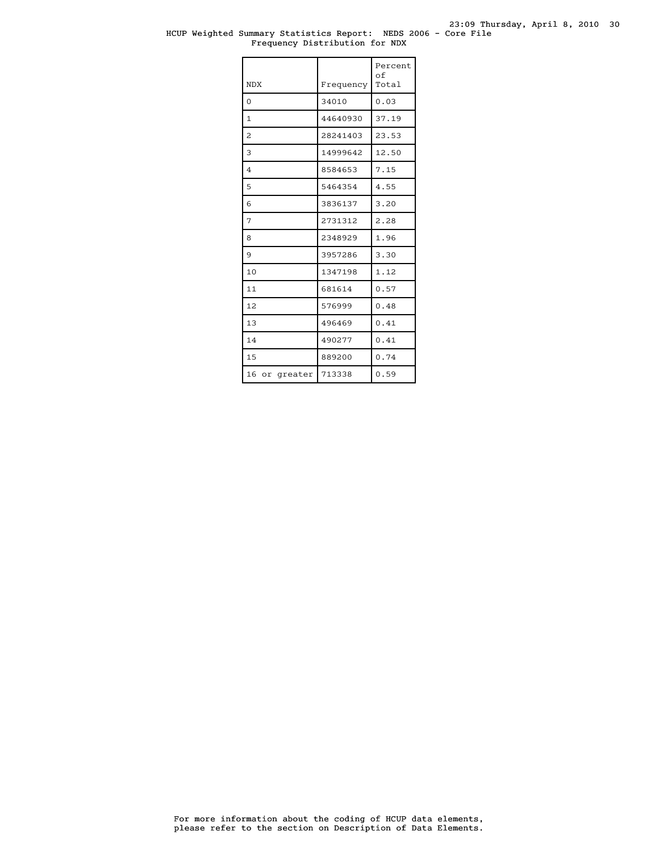#### HCUP Weighted Summary Statistics Report: NEDS 2006 - Core File Frequency Distribution for NDX

| <b>NDX</b>     | Frequency | Percent<br>of<br>Total |
|----------------|-----------|------------------------|
| $\Omega$       | 34010     | 0.03                   |
| 1              | 44640930  | 37.19                  |
| 2              | 28241403  | 23.53                  |
| 3              | 14999642  | 12.50                  |
| $\overline{4}$ | 8584653   | 7.15                   |
| 5              | 5464354   | 4.55                   |
| 6              | 3836137   | 3.20                   |
| 7              | 2731312   | 2.28                   |
| 8              | 2348929   | 1.96                   |
| 9              | 3957286   | 3.30                   |
| 10             | 1347198   | 1.12                   |
| 11             | 681614    | 0.57                   |
| 12             | 576999    | 0.48                   |
| 13             | 496469    | 0.41                   |
| 14             | 490277    | 0.41                   |
| 1.5            | 889200    | 0.74                   |
| 16 or greater  | 713338    | 0.59                   |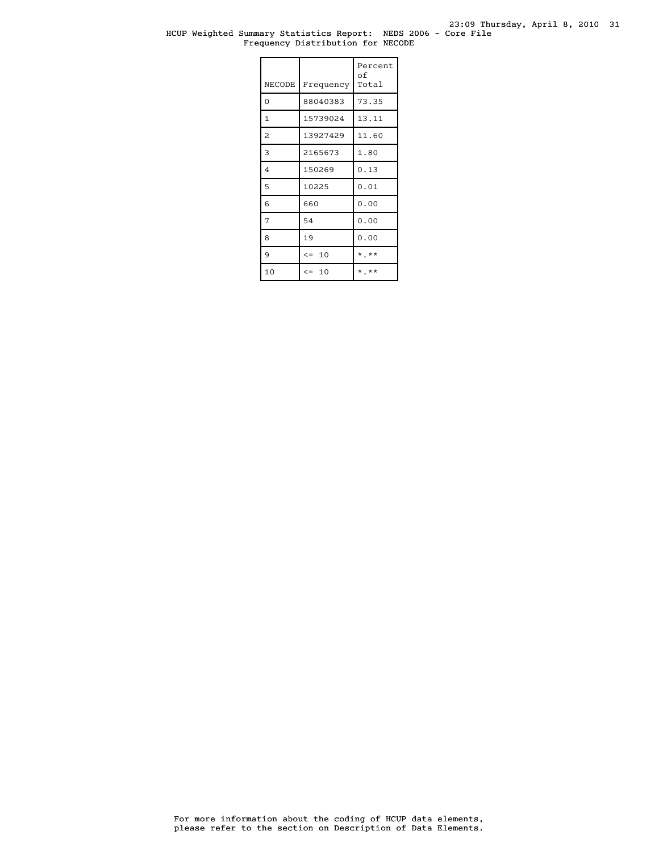#### HCUP Weighted Summary Statistics Report: NEDS 2006 - Core File Frequency Distribution for NECODE

| NECODE         | Frequency | Percent<br>оf<br>Total |
|----------------|-----------|------------------------|
| $\overline{O}$ | 88040383  | 73.35                  |
| $\mathbf{1}$   | 15739024  | 13.11                  |
| $\overline{c}$ | 13927429  | 11.60                  |
| 3              | 2165673   | 1.80                   |
| 4              | 150269    | 0.13                   |
| 5              | 10225     | 0.01                   |
| 6              | 660       | 0.00                   |
| 7              | 54        | 0.00                   |
| 8              | 19        | 0.00                   |
| 9              | $\leq$ 10 | $*$ **                 |
| 10             | $\leq$ 10 | $*$ , $**$             |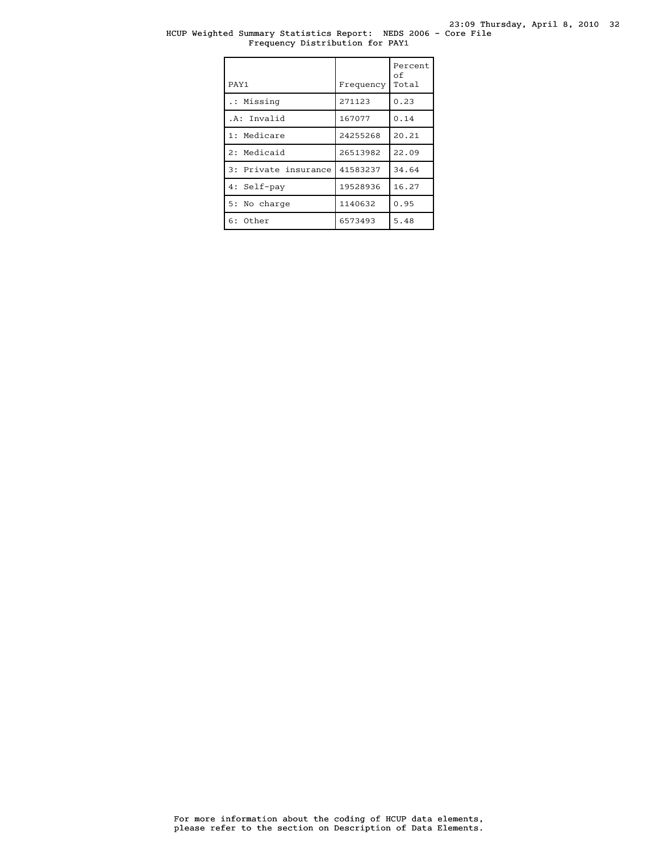#### HCUP Weighted Summary Statistics Report: NEDS 2006 - Core File Frequency Distribution for PAY1

| PAY1                 | Frequency | Percent<br>оf<br>Total |
|----------------------|-----------|------------------------|
| .: Missing           | 271123    | 0.23                   |
| .A: Invalid          | 167077    | 0.14                   |
| 1: Medicare          | 24255268  | 20.21                  |
| 2: Medicaid          | 26513982  | 22.09                  |
| 3: Private insurance | 41583237  | 34.64                  |
| 4: Self-pay          | 19528936  | 16.27                  |
| 5: No charge         | 1140632   | 0.95                   |
| 6: Other             | 6573493   | 5.48                   |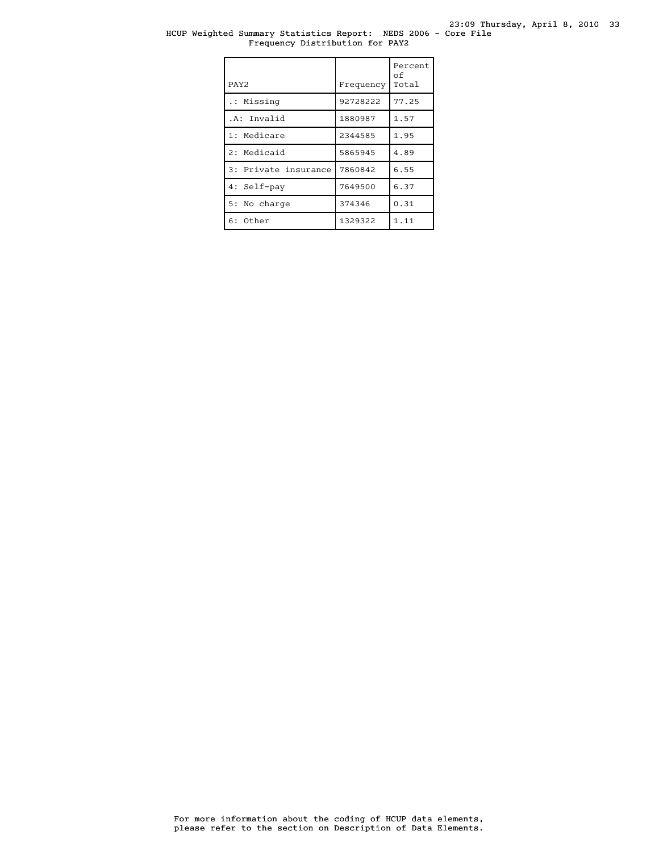#### HCUP Weighted Summary Statistics Report: NEDS 2006 - Core File Frequency Distribution for PAY2

| PAY <sub>2</sub>     | Frequency | Percent<br>оf<br>Total |
|----------------------|-----------|------------------------|
| .: Missing           | 92728222  | 77.25                  |
| .A: Invalid          | 1880987   | 1.57                   |
| 1: Medicare          | 2344585   | 1.95                   |
| 2: Medicaid          | 5865945   | 4.89                   |
| 3: Private insurance | 7860842   | 6.55                   |
| 4: Self-pay          | 7649500   | 6.37                   |
| 5: No charge         | 374346    | 0.31                   |
| $6:$ Other           | 1329322   | 1.11                   |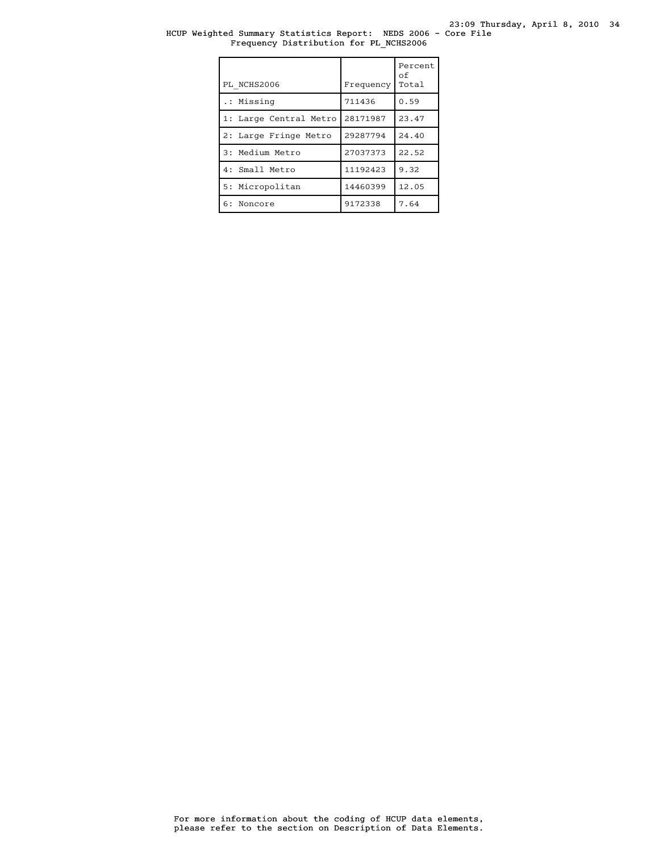#### HCUP Weighted Summary Statistics Report: NEDS 2006 - Core File Frequency Distribution for PL\_NCHS2006

| PL NCHS2006            | Frequency | Percent<br>οf<br>Total |
|------------------------|-----------|------------------------|
| .: Missing             | 711436    | 0.59                   |
| 1: Large Central Metro | 28171987  | 23.47                  |
| 2: Large Fringe Metro  | 29287794  | 24.40                  |
| 3: Medium Metro        | 27037373  | 22.52                  |
| 4: Small Metro         | 11192423  | 9.32                   |
| 5: Micropolitan        | 14460399  | 12.05                  |
| 6: Noncore             | 9172338   | 7.64                   |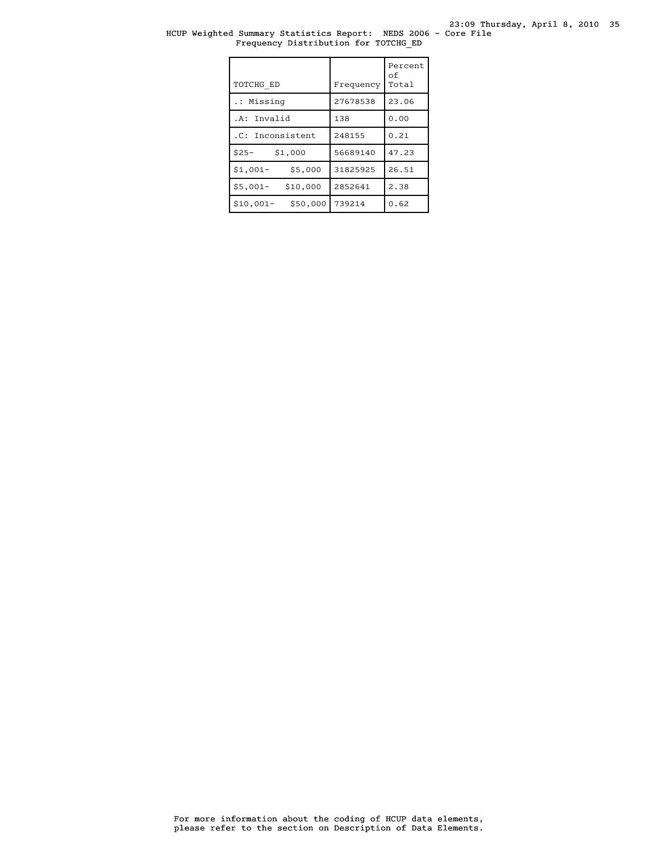#### HCUP Weighted Summary Statistics Report: NEDS 2006 - Core File Frequency Distribution for TOTCHG\_ED

| TOTCHG ED              | Frequency | Percent<br>of<br>Total |
|------------------------|-----------|------------------------|
| .: Missing             | 27678538  | 23.06                  |
| .A: Invalid            | 138       | 0.00                   |
| .C: Inconsistent       | 248155    | 0.21                   |
| $$25-$<br>\$1,000      | 56689140  | 47.23                  |
| $$1,001-$<br>\$5,000   | 31825925  | 26.51                  |
| \$10,000<br>$$5,001-$  | 2852641   | 2.38                   |
| $$10,001-$<br>\$50,000 | 739214    | 0.62                   |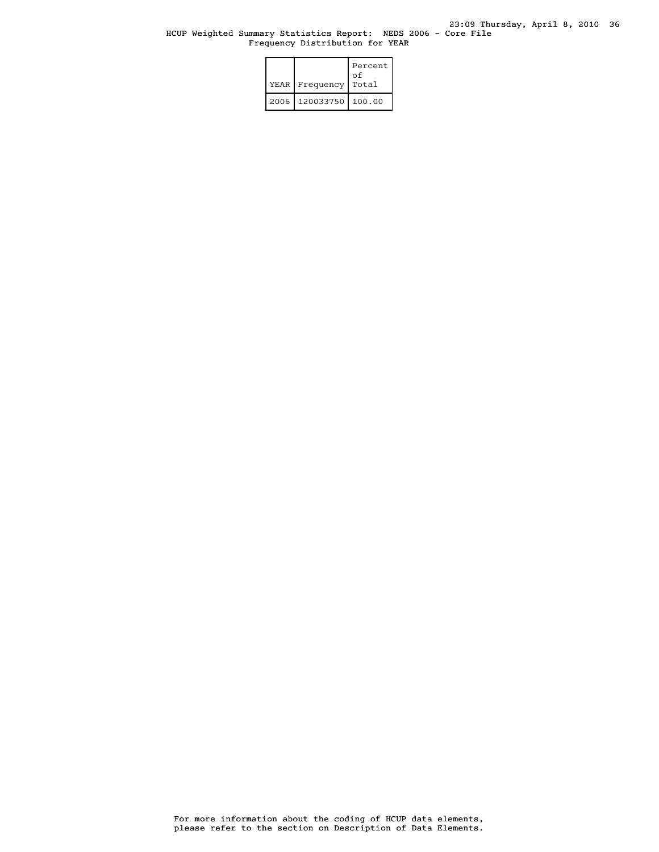#### HCUP Weighted Summary Statistics Report: NEDS 2006 - Core File Frequency Distribution for YEAR

| YEAR I | Frequency | Percent<br>οf<br>Total |
|--------|-----------|------------------------|
| 2006   | 120033750 | 100.00                 |